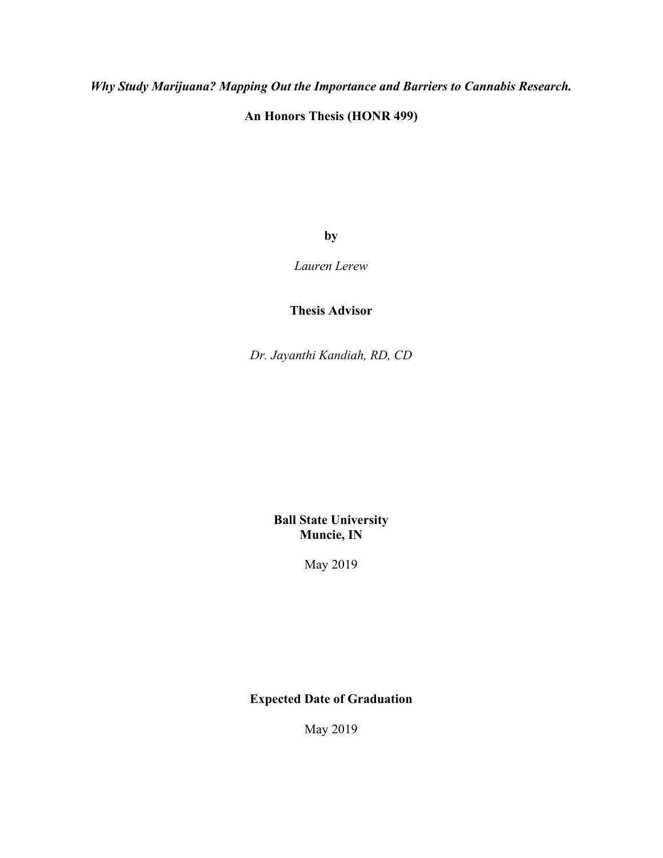*Why Study Marijuana? Mapping Out the Importance and Barriers to Cannabis Research.* 

**An Honors Thesis (HONR 499)** 

**by**

*Lauren Lerew* 

**Thesis Advisor** 

*Dr. Jayanthi Kandiah, RD, CD* 

**Ball State University Muncie, IN** 

May 2019

# **Expected Date of Graduation**

May 2019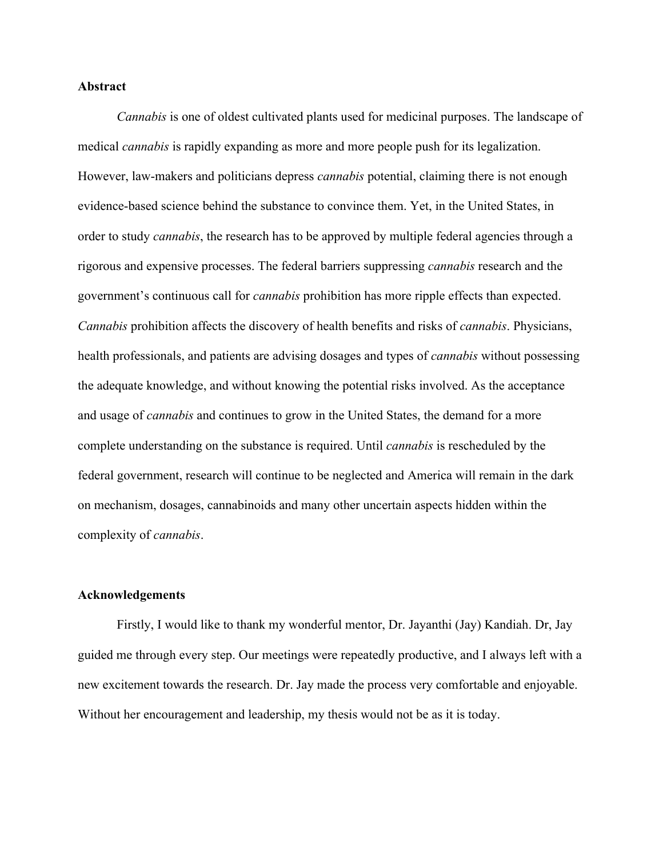### **Abstract**

*Cannabis* is one of oldest cultivated plants used for medicinal purposes. The landscape of medical *cannabis* is rapidly expanding as more and more people push for its legalization. However, law-makers and politicians depress *cannabis* potential, claiming there is not enough evidence-based science behind the substance to convince them. Yet, in the United States, in order to study *cannabis*, the research has to be approved by multiple federal agencies through a rigorous and expensive processes. The federal barriers suppressing *cannabis* research and the government's continuous call for *cannabis* prohibition has more ripple effects than expected. *Cannabis* prohibition affects the discovery of health benefits and risks of *cannabis*. Physicians, health professionals, and patients are advising dosages and types of *cannabis* without possessing the adequate knowledge, and without knowing the potential risks involved. As the acceptance and usage of *cannabis* and continues to grow in the United States, the demand for a more complete understanding on the substance is required. Until *cannabis* is rescheduled by the federal government, research will continue to be neglected and America will remain in the dark on mechanism, dosages, cannabinoids and many other uncertain aspects hidden within the complexity of *cannabis*.

#### **Acknowledgements**

 Firstly, I would like to thank my wonderful mentor, Dr. Jayanthi (Jay) Kandiah. Dr, Jay guided me through every step. Our meetings were repeatedly productive, and I always left with a new excitement towards the research. Dr. Jay made the process very comfortable and enjoyable. Without her encouragement and leadership, my thesis would not be as it is today.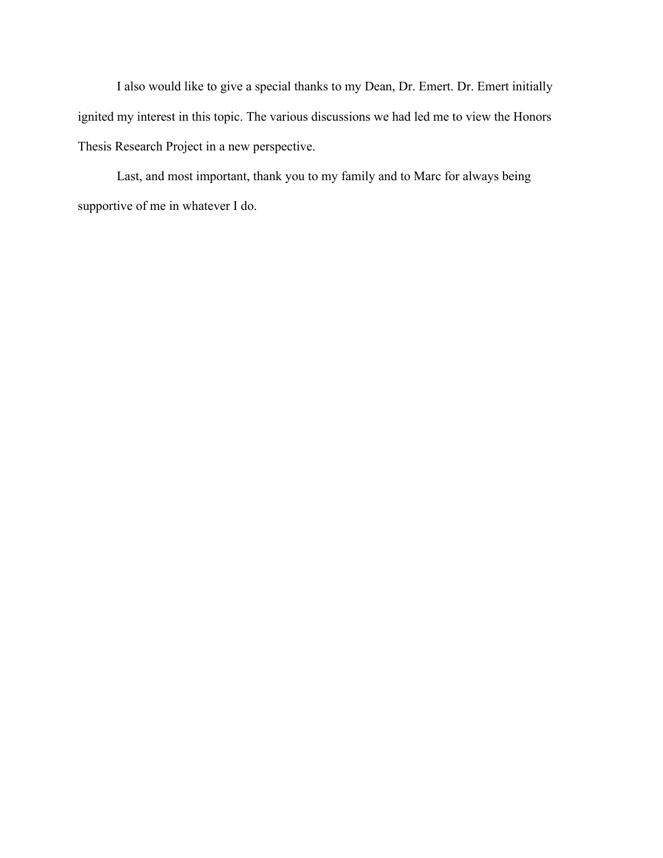I also would like to give a special thanks to my Dean, Dr. Emert. Dr. Emert initially ignited my interest in this topic. The various discussions we had led me to view the Honors Thesis Research Project in a new perspective.

 Last, and most important, thank you to my family and to Marc for always being supportive of me in whatever I do.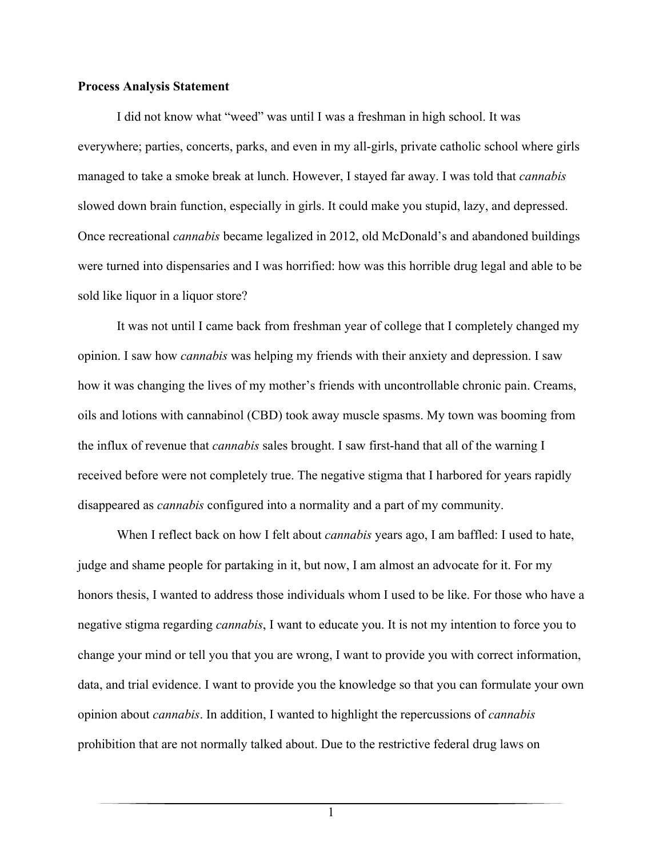### **Process Analysis Statement**

I did not know what "weed" was until I was a freshman in high school. It was everywhere; parties, concerts, parks, and even in my all-girls, private catholic school where girls managed to take a smoke break at lunch. However, I stayed far away. I was told that *cannabis* slowed down brain function, especially in girls. It could make you stupid, lazy, and depressed. Once recreational *cannabis* became legalized in 2012, old McDonald's and abandoned buildings were turned into dispensaries and I was horrified: how was this horrible drug legal and able to be sold like liquor in a liquor store?

It was not until I came back from freshman year of college that I completely changed my opinion. I saw how *cannabis* was helping my friends with their anxiety and depression. I saw how it was changing the lives of my mother's friends with uncontrollable chronic pain. Creams, oils and lotions with cannabinol (CBD) took away muscle spasms. My town was booming from the influx of revenue that *cannabis* sales brought. I saw first-hand that all of the warning I received before were not completely true. The negative stigma that I harbored for years rapidly disappeared as *cannabis* configured into a normality and a part of my community.

When I reflect back on how I felt about *cannabis* years ago, I am baffled: I used to hate, judge and shame people for partaking in it, but now, I am almost an advocate for it. For my honors thesis, I wanted to address those individuals whom I used to be like. For those who have a negative stigma regarding *cannabis*, I want to educate you. It is not my intention to force you to change your mind or tell you that you are wrong, I want to provide you with correct information, data, and trial evidence. I want to provide you the knowledge so that you can formulate your own opinion about *cannabis*. In addition, I wanted to highlight the repercussions of *cannabis* prohibition that are not normally talked about. Due to the restrictive federal drug laws on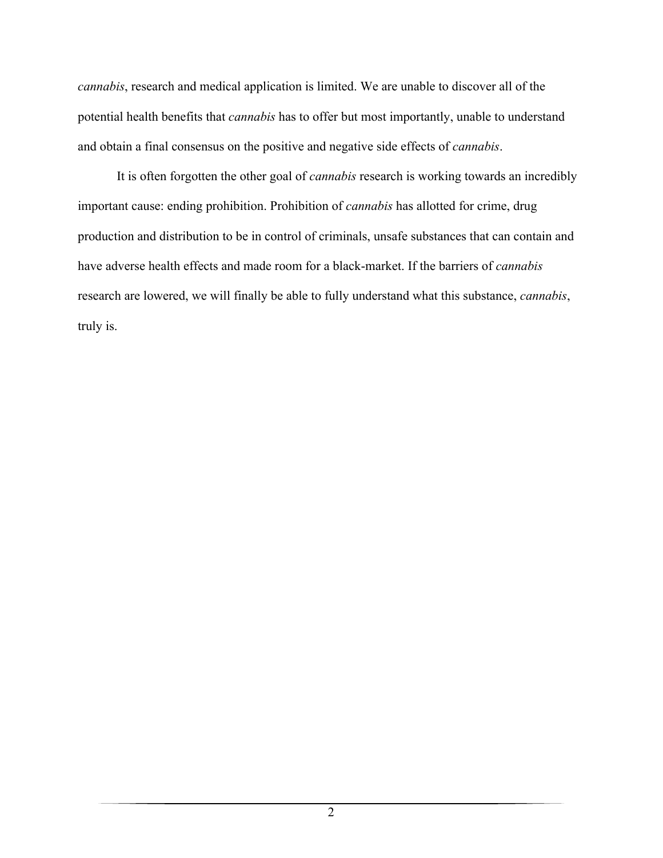*cannabis*, research and medical application is limited. We are unable to discover all of the potential health benefits that *cannabis* has to offer but most importantly, unable to understand and obtain a final consensus on the positive and negative side effects of *cannabis*.

It is often forgotten the other goal of *cannabis* research is working towards an incredibly important cause: ending prohibition. Prohibition of *cannabis* has allotted for crime, drug production and distribution to be in control of criminals, unsafe substances that can contain and have adverse health effects and made room for a black-market. If the barriers of *cannabis* research are lowered, we will finally be able to fully understand what this substance, *cannabis*, truly is.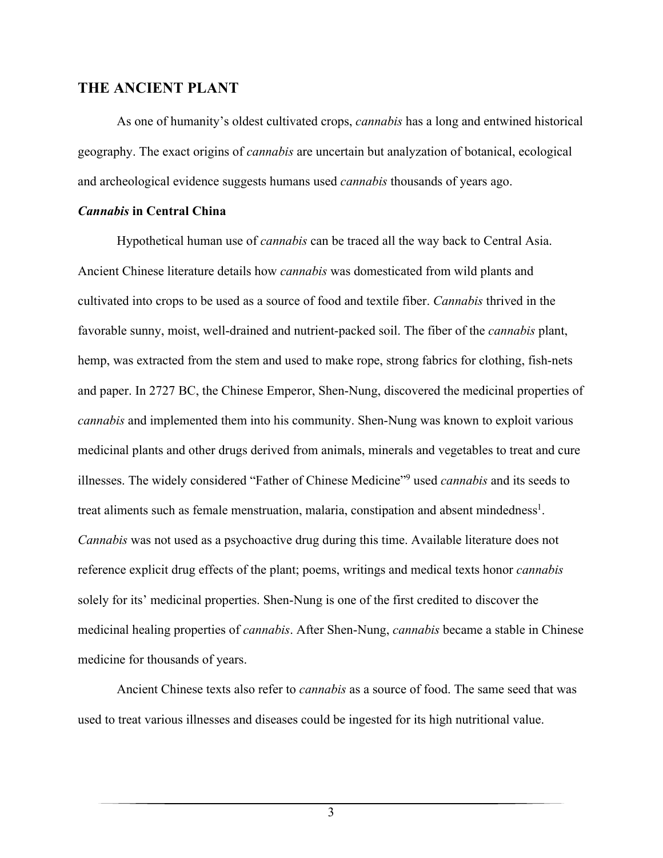# **THE ANCIENT PLANT**

As one of humanity's oldest cultivated crops, *cannabis* has a long and entwined historical geography. The exact origins of *cannabis* are uncertain but analyzation of botanical, ecological and archeological evidence suggests humans used *cannabis* thousands of years ago.

## *Cannabis* **in Central China**

Hypothetical human use of *cannabis* can be traced all the way back to Central Asia. Ancient Chinese literature details how *cannabis* was domesticated from wild plants and cultivated into crops to be used as a source of food and textile fiber. *Cannabis* thrived in the favorable sunny, moist, well-drained and nutrient-packed soil. The fiber of the *cannabis* plant, hemp, was extracted from the stem and used to make rope, strong fabrics for clothing, fish-nets and paper. In 2727 BC, the Chinese Emperor, Shen-Nung, discovered the medicinal properties of *cannabis* and implemented them into his community. Shen-Nung was known to exploit various medicinal plants and other drugs derived from animals, minerals and vegetables to treat and cure illnesses. The widely considered "Father of Chinese Medicine"9 used *cannabis* and its seeds to treat aliments such as female menstruation, malaria, constipation and absent mindedness<sup>1</sup>. *Cannabis* was not used as a psychoactive drug during this time. Available literature does not reference explicit drug effects of the plant; poems, writings and medical texts honor *cannabis* solely for its' medicinal properties. Shen-Nung is one of the first credited to discover the medicinal healing properties of *cannabis*. After Shen-Nung, *cannabis* became a stable in Chinese medicine for thousands of years.

Ancient Chinese texts also refer to *cannabis* as a source of food. The same seed that was used to treat various illnesses and diseases could be ingested for its high nutritional value.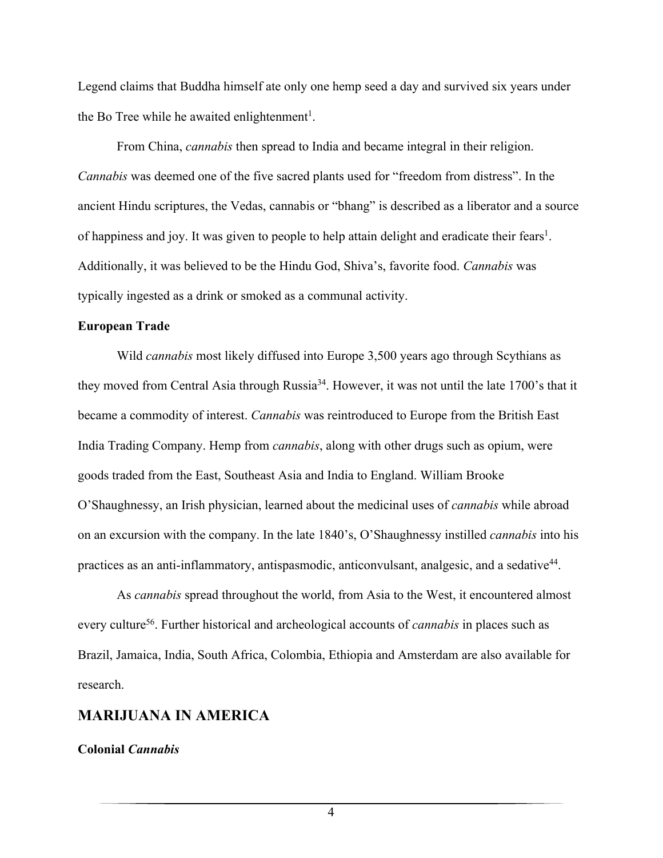Legend claims that Buddha himself ate only one hemp seed a day and survived six years under the Bo Tree while he awaited enlightenment<sup>1</sup>.

From China, *cannabis* then spread to India and became integral in their religion. *Cannabis* was deemed one of the five sacred plants used for "freedom from distress". In the ancient Hindu scriptures, the Vedas, cannabis or "bhang" is described as a liberator and a source of happiness and joy. It was given to people to help attain delight and eradicate their fears<sup>1</sup>. Additionally, it was believed to be the Hindu God, Shiva's, favorite food. *Cannabis* was typically ingested as a drink or smoked as a communal activity.

#### **European Trade**

Wild *cannabis* most likely diffused into Europe 3,500 years ago through Scythians as they moved from Central Asia through Russia34. However, it was not until the late 1700's that it became a commodity of interest. *Cannabis* was reintroduced to Europe from the British East India Trading Company. Hemp from *cannabis*, along with other drugs such as opium, were goods traded from the East, Southeast Asia and India to England. William Brooke O'Shaughnessy, an Irish physician, learned about the medicinal uses of *cannabis* while abroad on an excursion with the company. In the late 1840's, O'Shaughnessy instilled *cannabis* into his practices as an anti-inflammatory, antispasmodic, anticonvulsant, analgesic, and a sedative<sup>44</sup>.

As *cannabis* spread throughout the world, from Asia to the West, it encountered almost every culture<sup>56</sup>. Further historical and archeological accounts of *cannabis* in places such as Brazil, Jamaica, India, South Africa, Colombia, Ethiopia and Amsterdam are also available for research.

# **MARIJUANA IN AMERICA**

**Colonial** *Cannabis*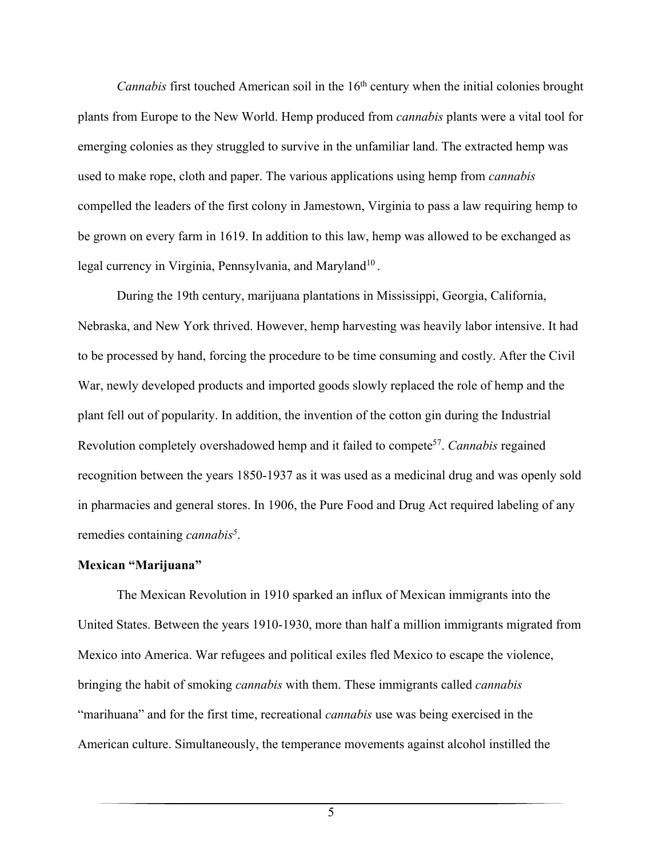*Cannabis* first touched American soil in the 16<sup>th</sup> century when the initial colonies brought plants from Europe to the New World. Hemp produced from *cannabis* plants were a vital tool for emerging colonies as they struggled to survive in the unfamiliar land. The extracted hemp was used to make rope, cloth and paper. The various applications using hemp from *cannabis* compelled the leaders of the first colony in Jamestown, Virginia to pass a law requiring hemp to be grown on every farm in 1619. In addition to this law, hemp was allowed to be exchanged as legal currency in Virginia, Pennsylvania, and Maryland<sup>10</sup>.

During the 19th century, marijuana plantations in Mississippi, Georgia, California, Nebraska, and New York thrived. However, hemp harvesting was heavily labor intensive. It had to be processed by hand, forcing the procedure to be time consuming and costly. After the Civil War, newly developed products and imported goods slowly replaced the role of hemp and the plant fell out of popularity. In addition, the invention of the cotton gin during the Industrial Revolution completely overshadowed hemp and it failed to compete57. *Cannabis* regained recognition between the years 1850-1937 as it was used as a medicinal drug and was openly sold in pharmacies and general stores. In 1906, the Pure Food and Drug Act required labeling of any remedies containing *cannabis5* .

#### **Mexican "Marijuana"**

The Mexican Revolution in 1910 sparked an influx of Mexican immigrants into the United States. Between the years 1910-1930, more than half a million immigrants migrated from Mexico into America. War refugees and political exiles fled Mexico to escape the violence, bringing the habit of smoking *cannabis* with them. These immigrants called *cannabis* "marihuana" and for the first time, recreational *cannabis* use was being exercised in the American culture. Simultaneously, the temperance movements against alcohol instilled the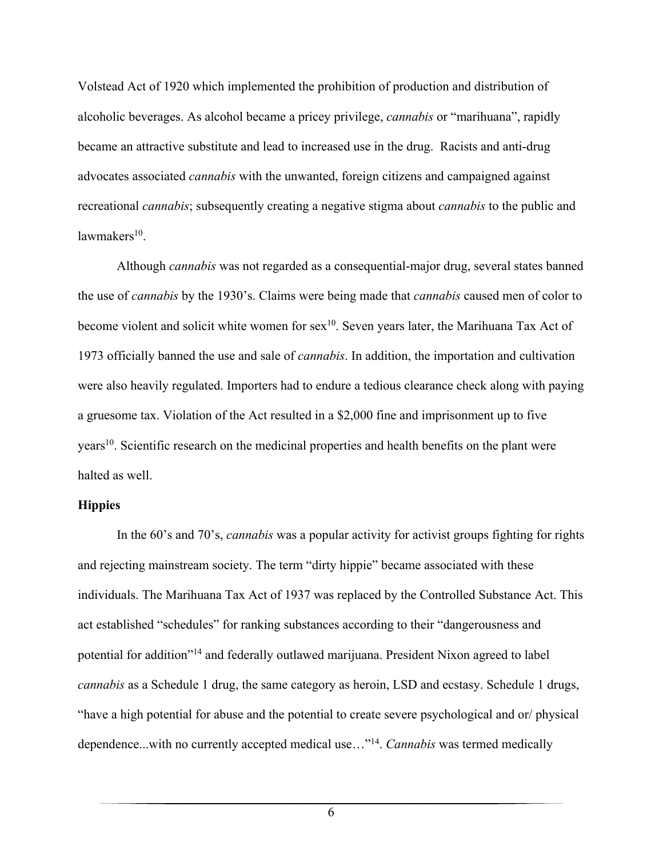Volstead Act of 1920 which implemented the prohibition of production and distribution of alcoholic beverages. As alcohol became a pricey privilege, *cannabis* or "marihuana", rapidly became an attractive substitute and lead to increased use in the drug. Racists and anti-drug advocates associated *cannabis* with the unwanted, foreign citizens and campaigned against recreational *cannabis*; subsequently creating a negative stigma about *cannabis* to the public and  $law makeser<sub>10</sub>$ .

Although *cannabis* was not regarded as a consequential-major drug, several states banned the use of *cannabis* by the 1930's. Claims were being made that *cannabis* caused men of color to become violent and solicit white women for  $sex^{10}$ . Seven years later, the Marihuana Tax Act of 1973 officially banned the use and sale of *cannabis*. In addition, the importation and cultivation were also heavily regulated. Importers had to endure a tedious clearance check along with paying a gruesome tax. Violation of the Act resulted in a \$2,000 fine and imprisonment up to five years<sup>10</sup>. Scientific research on the medicinal properties and health benefits on the plant were halted as well.

## **Hippies**

In the 60's and 70's, *cannabis* was a popular activity for activist groups fighting for rights and rejecting mainstream society. The term "dirty hippie" became associated with these individuals. The Marihuana Tax Act of 1937 was replaced by the Controlled Substance Act. This act established "schedules" for ranking substances according to their "dangerousness and potential for addition"<sup>14</sup> and federally outlawed marijuana. President Nixon agreed to label *cannabis* as a Schedule 1 drug, the same category as heroin, LSD and ecstasy. Schedule 1 drugs, "have a high potential for abuse and the potential to create severe psychological and or/ physical dependence...with no currently accepted medical use…"14. *Cannabis* was termed medically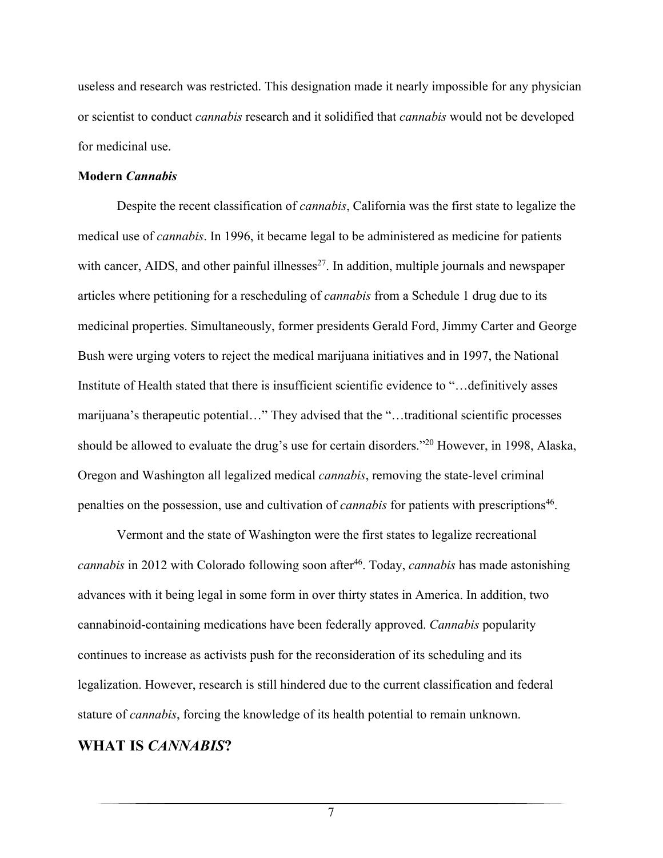useless and research was restricted. This designation made it nearly impossible for any physician or scientist to conduct *cannabis* research and it solidified that *cannabis* would not be developed for medicinal use.

#### **Modern** *Cannabis*

Despite the recent classification of *cannabis*, California was the first state to legalize the medical use of *cannabis*. In 1996, it became legal to be administered as medicine for patients with cancer, AIDS, and other painful illnesses $^{27}$ . In addition, multiple journals and newspaper articles where petitioning for a rescheduling of *cannabis* from a Schedule 1 drug due to its medicinal properties. Simultaneously, former presidents Gerald Ford, Jimmy Carter and George Bush were urging voters to reject the medical marijuana initiatives and in 1997, the National Institute of Health stated that there is insufficient scientific evidence to "…definitively asses marijuana's therapeutic potential…" They advised that the "…traditional scientific processes should be allowed to evaluate the drug's use for certain disorders."20 However, in 1998, Alaska, Oregon and Washington all legalized medical *cannabis*, removing the state-level criminal penalties on the possession, use and cultivation of *cannabis* for patients with prescriptions<sup>46</sup>.

Vermont and the state of Washington were the first states to legalize recreational *cannabis* in 2012 with Colorado following soon after<sup>46</sup>. Today, *cannabis* has made astonishing advances with it being legal in some form in over thirty states in America. In addition, two cannabinoid-containing medications have been federally approved. *Cannabis* popularity continues to increase as activists push for the reconsideration of its scheduling and its legalization. However, research is still hindered due to the current classification and federal stature of *cannabis*, forcing the knowledge of its health potential to remain unknown.

## **WHAT IS** *CANNABIS***?**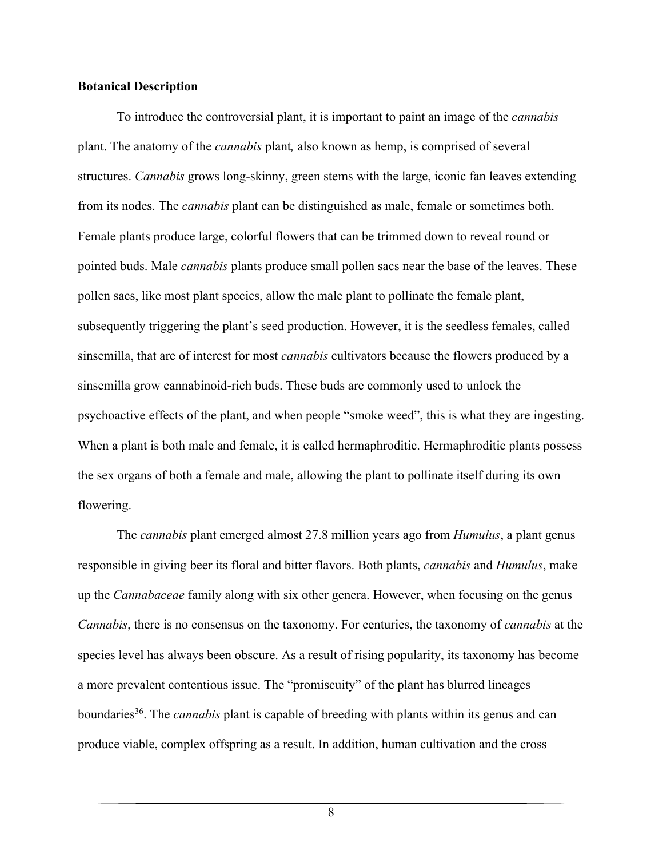## **Botanical Description**

To introduce the controversial plant, it is important to paint an image of the *cannabis* plant. The anatomy of the *cannabis* plant*,* also known as hemp, is comprised of several structures. *Cannabis* grows long-skinny, green stems with the large, iconic fan leaves extending from its nodes. The *cannabis* plant can be distinguished as male, female or sometimes both. Female plants produce large, colorful flowers that can be trimmed down to reveal round or pointed buds. Male *cannabis* plants produce small pollen sacs near the base of the leaves. These pollen sacs, like most plant species, allow the male plant to pollinate the female plant, subsequently triggering the plant's seed production. However, it is the seedless females, called sinsemilla, that are of interest for most *cannabis* cultivators because the flowers produced by a sinsemilla grow cannabinoid-rich buds. These buds are commonly used to unlock the psychoactive effects of the plant, and when people "smoke weed", this is what they are ingesting. When a plant is both male and female, it is called hermaphroditic. Hermaphroditic plants possess the sex organs of both a female and male, allowing the plant to pollinate itself during its own flowering.

The *cannabis* plant emerged almost 27.8 million years ago from *Humulus*, a plant genus responsible in giving beer its floral and bitter flavors. Both plants, *cannabis* and *Humulus*, make up the *Cannabaceae* family along with six other genera. However, when focusing on the genus *Cannabis*, there is no consensus on the taxonomy. For centuries, the taxonomy of *cannabis* at the species level has always been obscure. As a result of rising popularity, its taxonomy has become a more prevalent contentious issue. The "promiscuity" of the plant has blurred lineages boundaries<sup>36</sup>. The *cannabis* plant is capable of breeding with plants within its genus and can produce viable, complex offspring as a result. In addition, human cultivation and the cross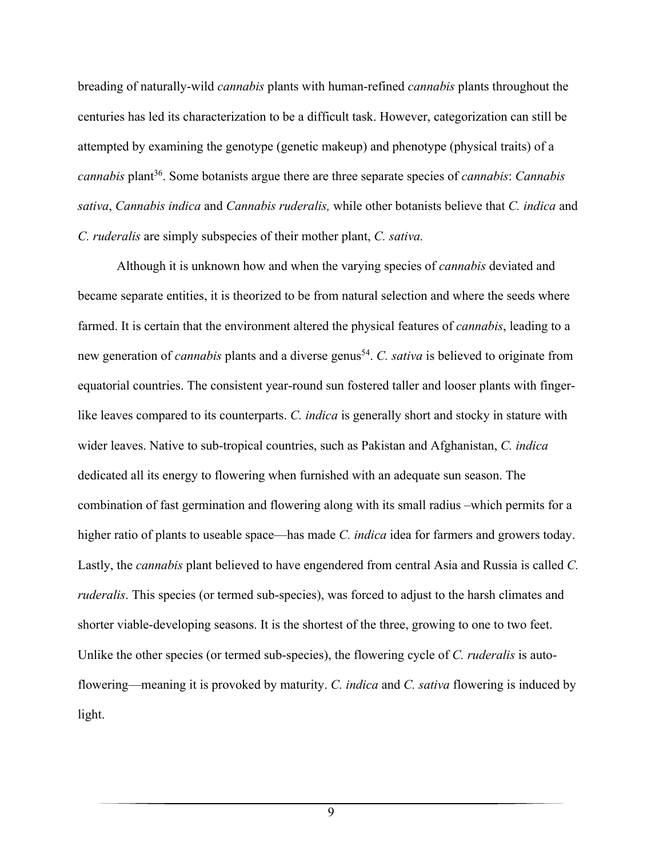breading of naturally-wild *cannabis* plants with human-refined *cannabis* plants throughout the centuries has led its characterization to be a difficult task. However, categorization can still be attempted by examining the genotype (genetic makeup) and phenotype (physical traits) of a *cannabis* plant36. Some botanists argue there are three separate species of *cannabis*: *Cannabis sativa*, *Cannabis indica* and *Cannabis ruderalis,* while other botanists believe that *C. indica* and *C. ruderalis* are simply subspecies of their mother plant, *C. sativa.*

Although it is unknown how and when the varying species of *cannabis* deviated and became separate entities, it is theorized to be from natural selection and where the seeds where farmed. It is certain that the environment altered the physical features of *cannabis*, leading to a new generation of *cannabis* plants and a diverse genus<sup>54</sup>. *C. sativa* is believed to originate from equatorial countries. The consistent year-round sun fostered taller and looser plants with fingerlike leaves compared to its counterparts. *C. indica* is generally short and stocky in stature with wider leaves. Native to sub-tropical countries, such as Pakistan and Afghanistan, *C. indica* dedicated all its energy to flowering when furnished with an adequate sun season. The combination of fast germination and flowering along with its small radius –which permits for a higher ratio of plants to useable space—has made *C. indica* idea for farmers and growers today. Lastly, the *cannabis* plant believed to have engendered from central Asia and Russia is called *C. ruderalis*. This species (or termed sub-species), was forced to adjust to the harsh climates and shorter viable-developing seasons. It is the shortest of the three, growing to one to two feet. Unlike the other species (or termed sub-species), the flowering cycle of *C. ruderalis* is autoflowering—meaning it is provoked by maturity. *C. indica* and *C. sativa* flowering is induced by light.

 $\overline{9}$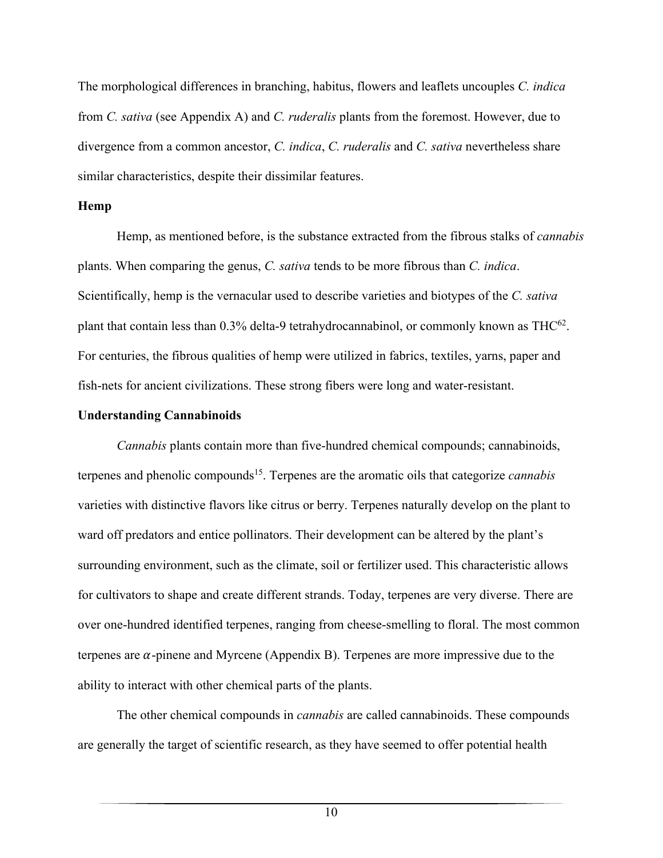The morphological differences in branching, habitus, flowers and leaflets uncouples *C. indica* from *C. sativa* (see Appendix A) and *C. ruderalis* plants from the foremost. However, due to divergence from a common ancestor, *C. indica*, *C. ruderalis* and *C. sativa* nevertheless share similar characteristics, despite their dissimilar features.

#### **Hemp**

 Hemp, as mentioned before, is the substance extracted from the fibrous stalks of *cannabis* plants. When comparing the genus, *C. sativa* tends to be more fibrous than *C. indica*. Scientifically, hemp is the vernacular used to describe varieties and biotypes of the *C. sativa*  plant that contain less than  $0.3\%$  delta-9 tetrahydrocannabinol, or commonly known as THC<sup>62</sup>. For centuries, the fibrous qualities of hemp were utilized in fabrics, textiles, yarns, paper and fish-nets for ancient civilizations. These strong fibers were long and water-resistant.

#### **Understanding Cannabinoids**

*Cannabis* plants contain more than five-hundred chemical compounds; cannabinoids, terpenes and phenolic compounds15. Terpenes are the aromatic oils that categorize *cannabis* varieties with distinctive flavors like citrus or berry. Terpenes naturally develop on the plant to ward off predators and entice pollinators. Their development can be altered by the plant's surrounding environment, such as the climate, soil or fertilizer used. This characteristic allows for cultivators to shape and create different strands. Today, terpenes are very diverse. There are over one-hundred identified terpenes, ranging from cheese-smelling to floral. The most common terpenes are  $\alpha$ -pinene and Myrcene (Appendix B). Terpenes are more impressive due to the ability to interact with other chemical parts of the plants.

The other chemical compounds in *cannabis* are called cannabinoids. These compounds are generally the target of scientific research, as they have seemed to offer potential health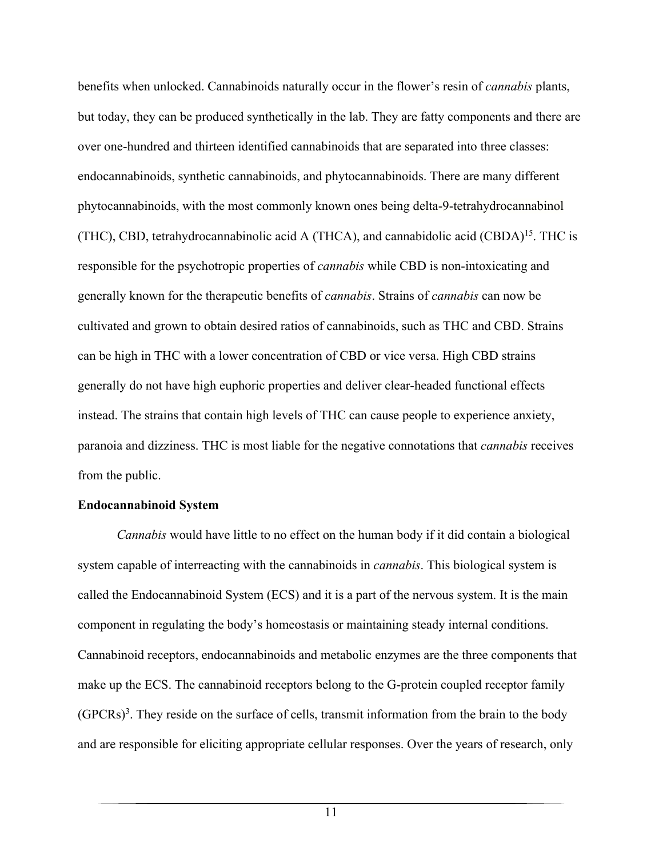benefits when unlocked. Cannabinoids naturally occur in the flower's resin of *cannabis* plants, but today, they can be produced synthetically in the lab. They are fatty components and there are over one-hundred and thirteen identified cannabinoids that are separated into three classes: endocannabinoids, synthetic cannabinoids, and phytocannabinoids. There are many different phytocannabinoids, with the most commonly known ones being delta-9-tetrahydrocannabinol (THC), CBD, tetrahydrocannabinolic acid A (THCA), and cannabidolic acid (CBDA)<sup>15</sup>. THC is responsible for the psychotropic properties of *cannabis* while CBD is non-intoxicating and generally known for the therapeutic benefits of *cannabis*. Strains of *cannabis* can now be cultivated and grown to obtain desired ratios of cannabinoids, such as THC and CBD. Strains can be high in THC with a lower concentration of CBD or vice versa. High CBD strains generally do not have high euphoric properties and deliver clear-headed functional effects instead. The strains that contain high levels of THC can cause people to experience anxiety, paranoia and dizziness. THC is most liable for the negative connotations that *cannabis* receives from the public.

#### **Endocannabinoid System**

*Cannabis* would have little to no effect on the human body if it did contain a biological system capable of interreacting with the cannabinoids in *cannabis*. This biological system is called the Endocannabinoid System (ECS) and it is a part of the nervous system. It is the main component in regulating the body's homeostasis or maintaining steady internal conditions. Cannabinoid receptors, endocannabinoids and metabolic enzymes are the three components that make up the ECS. The cannabinoid receptors belong to the G-protein coupled receptor family  $(GPCRs)^3$ . They reside on the surface of cells, transmit information from the brain to the body and are responsible for eliciting appropriate cellular responses. Over the years of research, only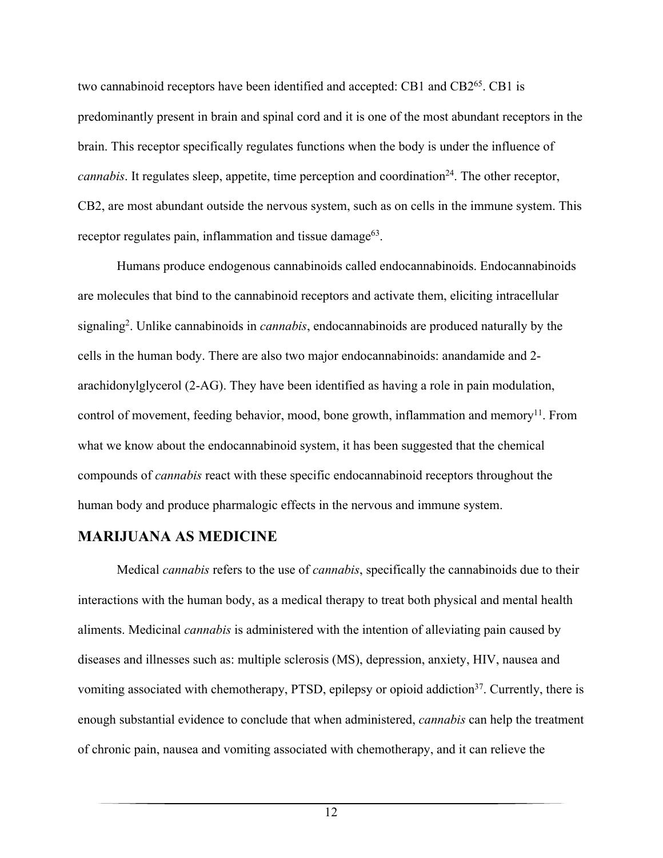two cannabinoid receptors have been identified and accepted: CB1 and CB2<sup>65</sup>. CB1 is predominantly present in brain and spinal cord and it is one of the most abundant receptors in the brain. This receptor specifically regulates functions when the body is under the influence of *cannabis*. It regulates sleep, appetite, time perception and coordination<sup>24</sup>. The other receptor, CB2, are most abundant outside the nervous system, such as on cells in the immune system. This receptor regulates pain, inflammation and tissue damage<sup>63</sup>.

 Humans produce endogenous cannabinoids called endocannabinoids. Endocannabinoids are molecules that bind to the cannabinoid receptors and activate them, eliciting intracellular signaling<sup>2</sup>. Unlike cannabinoids in *cannabis*, endocannabinoids are produced naturally by the cells in the human body. There are also two major endocannabinoids: anandamide and 2 arachidonylglycerol (2-AG). They have been identified as having a role in pain modulation, control of movement, feeding behavior, mood, bone growth, inflammation and memory<sup>11</sup>. From what we know about the endocannabinoid system, it has been suggested that the chemical compounds of *cannabis* react with these specific endocannabinoid receptors throughout the human body and produce pharmalogic effects in the nervous and immune system.

# **MARIJUANA AS MEDICINE**

 Medical *cannabis* refers to the use of *cannabis*, specifically the cannabinoids due to their interactions with the human body, as a medical therapy to treat both physical and mental health aliments. Medicinal *cannabis* is administered with the intention of alleviating pain caused by diseases and illnesses such as: multiple sclerosis (MS), depression, anxiety, HIV, nausea and vomiting associated with chemotherapy, PTSD, epilepsy or opioid addiction<sup>37</sup>. Currently, there is enough substantial evidence to conclude that when administered, *cannabis* can help the treatment of chronic pain, nausea and vomiting associated with chemotherapy, and it can relieve the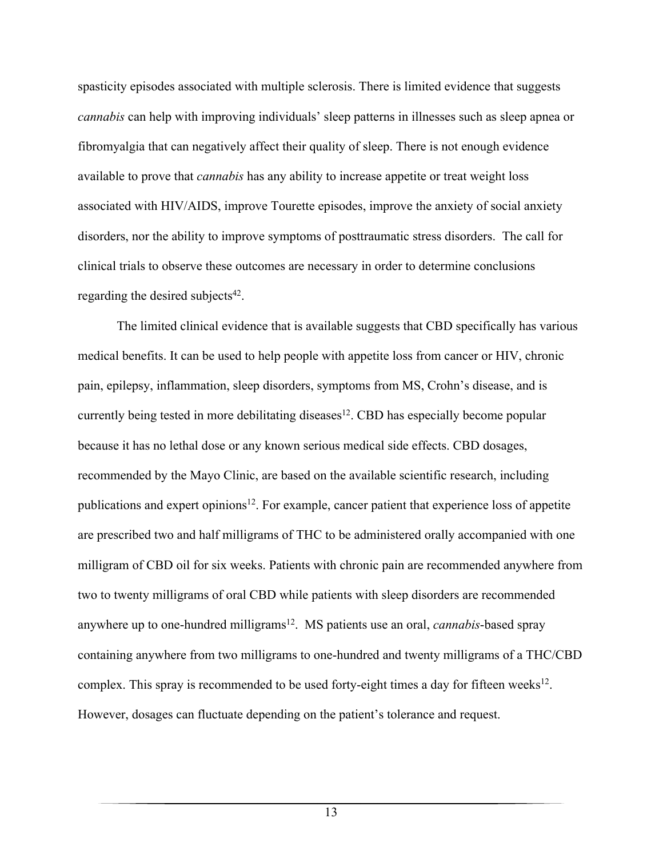spasticity episodes associated with multiple sclerosis. There is limited evidence that suggests *cannabis* can help with improving individuals' sleep patterns in illnesses such as sleep apnea or fibromyalgia that can negatively affect their quality of sleep. There is not enough evidence available to prove that *cannabis* has any ability to increase appetite or treat weight loss associated with HIV/AIDS, improve Tourette episodes, improve the anxiety of social anxiety disorders, nor the ability to improve symptoms of posttraumatic stress disorders. The call for clinical trials to observe these outcomes are necessary in order to determine conclusions regarding the desired subjects $42$ .

The limited clinical evidence that is available suggests that CBD specifically has various medical benefits. It can be used to help people with appetite loss from cancer or HIV, chronic pain, epilepsy, inflammation, sleep disorders, symptoms from MS, Crohn's disease, and is currently being tested in more debilitating diseases<sup>12</sup>. CBD has especially become popular because it has no lethal dose or any known serious medical side effects. CBD dosages, recommended by the Mayo Clinic, are based on the available scientific research, including publications and expert opinions<sup>12</sup>. For example, cancer patient that experience loss of appetite are prescribed two and half milligrams of THC to be administered orally accompanied with one milligram of CBD oil for six weeks. Patients with chronic pain are recommended anywhere from two to twenty milligrams of oral CBD while patients with sleep disorders are recommended anywhere up to one-hundred milligrams<sup>12</sup>. MS patients use an oral, *cannabis*-based spray containing anywhere from two milligrams to one-hundred and twenty milligrams of a THC/CBD complex. This spray is recommended to be used forty-eight times a day for fifteen weeks<sup>12</sup>. However, dosages can fluctuate depending on the patient's tolerance and request.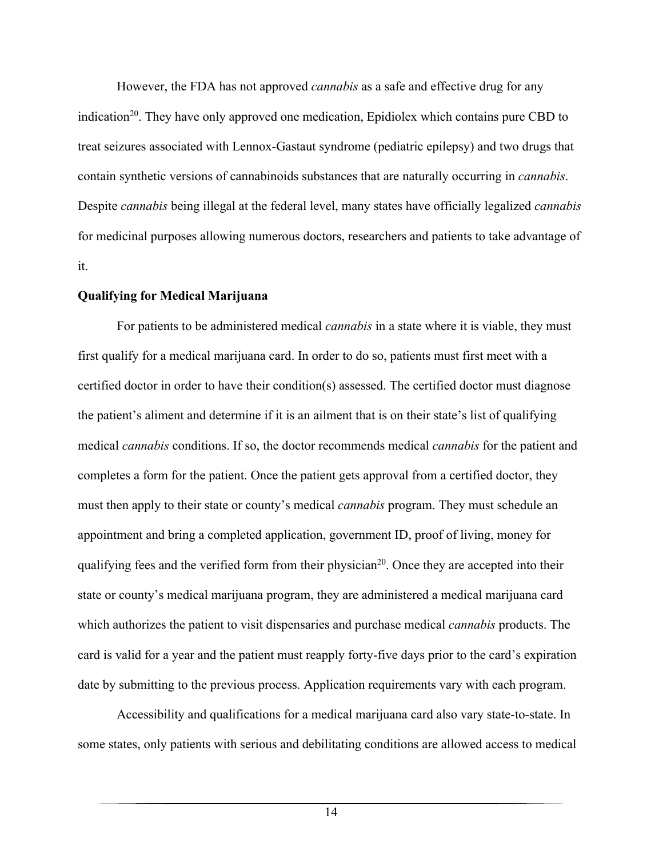However, the FDA has not approved *cannabis* as a safe and effective drug for any indication<sup>20</sup>. They have only approved one medication, Epidiolex which contains pure CBD to treat seizures associated with Lennox-Gastaut syndrome (pediatric epilepsy) and two drugs that contain synthetic versions of cannabinoids substances that are naturally occurring in *cannabis*. Despite *cannabis* being illegal at the federal level, many states have officially legalized *cannabis* for medicinal purposes allowing numerous doctors, researchers and patients to take advantage of it.

#### **Qualifying for Medical Marijuana**

 For patients to be administered medical *cannabis* in a state where it is viable, they must first qualify for a medical marijuana card. In order to do so, patients must first meet with a certified doctor in order to have their condition(s) assessed. The certified doctor must diagnose the patient's aliment and determine if it is an ailment that is on their state's list of qualifying medical *cannabis* conditions. If so, the doctor recommends medical *cannabis* for the patient and completes a form for the patient. Once the patient gets approval from a certified doctor, they must then apply to their state or county's medical *cannabis* program. They must schedule an appointment and bring a completed application, government ID, proof of living, money for qualifying fees and the verified form from their physician<sup>20</sup>. Once they are accepted into their state or county's medical marijuana program, they are administered a medical marijuana card which authorizes the patient to visit dispensaries and purchase medical *cannabis* products. The card is valid for a year and the patient must reapply forty-five days prior to the card's expiration date by submitting to the previous process. Application requirements vary with each program.

Accessibility and qualifications for a medical marijuana card also vary state-to-state. In some states, only patients with serious and debilitating conditions are allowed access to medical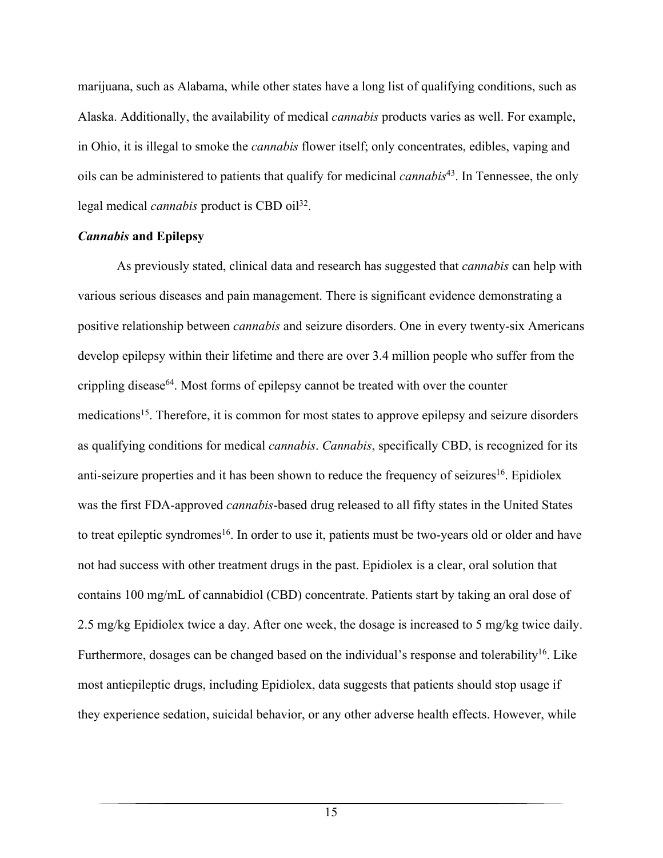marijuana, such as Alabama, while other states have a long list of qualifying conditions, such as Alaska. Additionally, the availability of medical *cannabis* products varies as well. For example, in Ohio, it is illegal to smoke the *cannabis* flower itself; only concentrates, edibles, vaping and oils can be administered to patients that qualify for medicinal *cannabis*43. In Tennessee, the only legal medical *cannabis* product is CBD oil<sup>32</sup>.

#### *Cannabis* **and Epilepsy**

As previously stated, clinical data and research has suggested that *cannabis* can help with various serious diseases and pain management. There is significant evidence demonstrating a positive relationship between *cannabis* and seizure disorders. One in every twenty-six Americans develop epilepsy within their lifetime and there are over 3.4 million people who suffer from the crippling disease<sup>64</sup>. Most forms of epilepsy cannot be treated with over the counter medications<sup>15</sup>. Therefore, it is common for most states to approve epilepsy and seizure disorders as qualifying conditions for medical *cannabis*. *Cannabis*, specifically CBD, is recognized for its anti-seizure properties and it has been shown to reduce the frequency of seizures<sup>16</sup>. Epidiolex was the first FDA-approved *cannabis*-based drug released to all fifty states in the United States to treat epileptic syndromes<sup>16</sup>. In order to use it, patients must be two-years old or older and have not had success with other treatment drugs in the past. Epidiolex is a clear, oral solution that contains 100 mg/mL of cannabidiol (CBD) concentrate. Patients start by taking an oral dose of 2.5 mg/kg Epidiolex twice a day. After one week, the dosage is increased to 5 mg/kg twice daily. Furthermore, dosages can be changed based on the individual's response and tolerability<sup>16</sup>. Like most antiepileptic drugs, including Epidiolex, data suggests that patients should stop usage if they experience sedation, suicidal behavior, or any other adverse health effects. However, while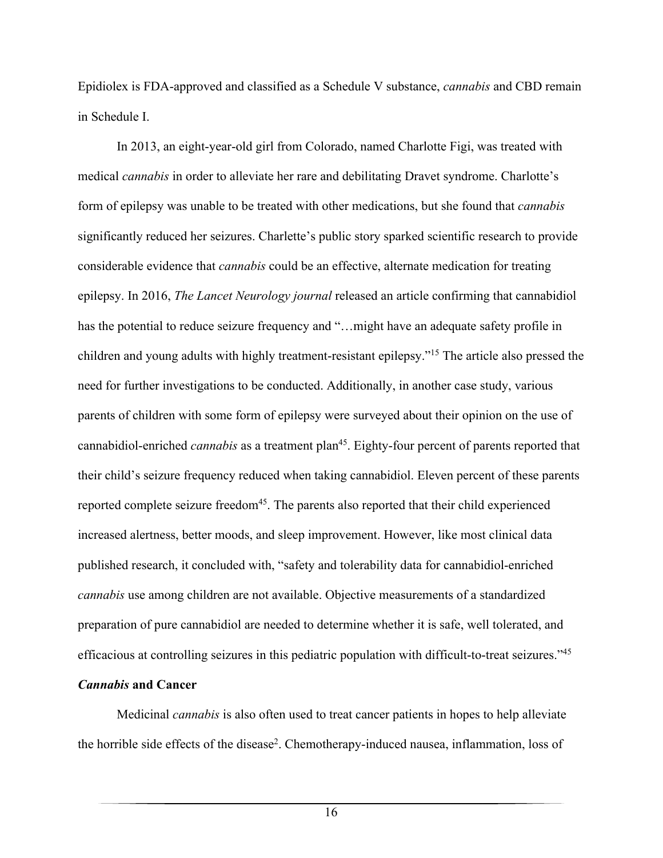Epidiolex is FDA-approved and classified as a Schedule V substance, *cannabis* and CBD remain in Schedule I.

In 2013, an eight-year-old girl from Colorado, named Charlotte Figi, was treated with medical *cannabis* in order to alleviate her rare and debilitating Dravet syndrome. Charlotte's form of epilepsy was unable to be treated with other medications, but she found that *cannabis* significantly reduced her seizures. Charlette's public story sparked scientific research to provide considerable evidence that *cannabis* could be an effective, alternate medication for treating epilepsy. In 2016, *The Lancet Neurology journal* released an article confirming that cannabidiol has the potential to reduce seizure frequency and "...might have an adequate safety profile in children and young adults with highly treatment-resistant epilepsy."15 The article also pressed the need for further investigations to be conducted. Additionally, in another case study, various parents of children with some form of epilepsy were surveyed about their opinion on the use of cannabidiol-enriched *cannabis* as a treatment plan<sup>45</sup>. Eighty-four percent of parents reported that their child's seizure frequency reduced when taking cannabidiol. Eleven percent of these parents reported complete seizure freedom $45$ . The parents also reported that their child experienced increased alertness, better moods, and sleep improvement. However, like most clinical data published research, it concluded with, "safety and tolerability data for cannabidiol-enriched *cannabis* use among children are not available. Objective measurements of a standardized preparation of pure cannabidiol are needed to determine whether it is safe, well tolerated, and efficacious at controlling seizures in this pediatric population with difficult-to-treat seizures."45

## *Cannabis* **and Cancer**

Medicinal *cannabis* is also often used to treat cancer patients in hopes to help alleviate the horrible side effects of the disease<sup>2</sup>. Chemotherapy-induced nausea, inflammation, loss of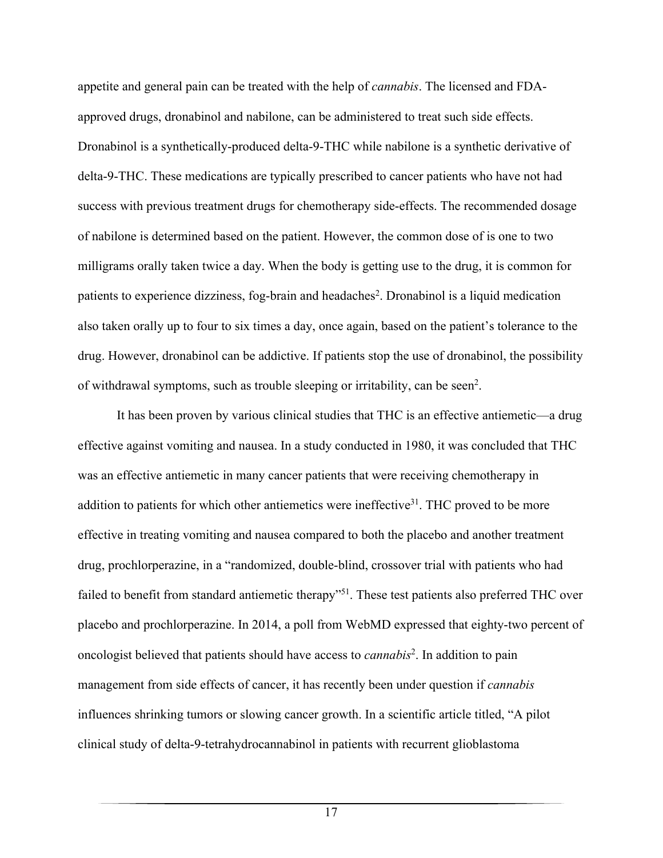appetite and general pain can be treated with the help of *cannabis*. The licensed and FDAapproved drugs, dronabinol and nabilone, can be administered to treat such side effects. Dronabinol is a synthetically-produced delta-9-THC while nabilone is a synthetic derivative of delta-9-THC. These medications are typically prescribed to cancer patients who have not had success with previous treatment drugs for chemotherapy side-effects. The recommended dosage of nabilone is determined based on the patient. However, the common dose of is one to two milligrams orally taken twice a day. When the body is getting use to the drug, it is common for patients to experience dizziness, fog-brain and headaches<sup>2</sup>. Dronabinol is a liquid medication also taken orally up to four to six times a day, once again, based on the patient's tolerance to the drug. However, dronabinol can be addictive. If patients stop the use of dronabinol, the possibility of withdrawal symptoms, such as trouble sleeping or irritability, can be seen<sup>2</sup>.

It has been proven by various clinical studies that THC is an effective antiemetic—a drug effective against vomiting and nausea. In a study conducted in 1980, it was concluded that THC was an effective antiemetic in many cancer patients that were receiving chemotherapy in addition to patients for which other antiemetics were ineffective<sup>31</sup>. THC proved to be more effective in treating vomiting and nausea compared to both the placebo and another treatment drug, prochlorperazine, in a "randomized, double-blind, crossover trial with patients who had failed to benefit from standard antiemetic therapy"<sup>51</sup>. These test patients also preferred THC over placebo and prochlorperazine. In 2014, a poll from WebMD expressed that eighty-two percent of oncologist believed that patients should have access to *cannabis*<sup>2</sup> . In addition to pain management from side effects of cancer, it has recently been under question if *cannabis* influences shrinking tumors or slowing cancer growth. In a scientific article titled, "A pilot clinical study of delta-9-tetrahydrocannabinol in patients with recurrent glioblastoma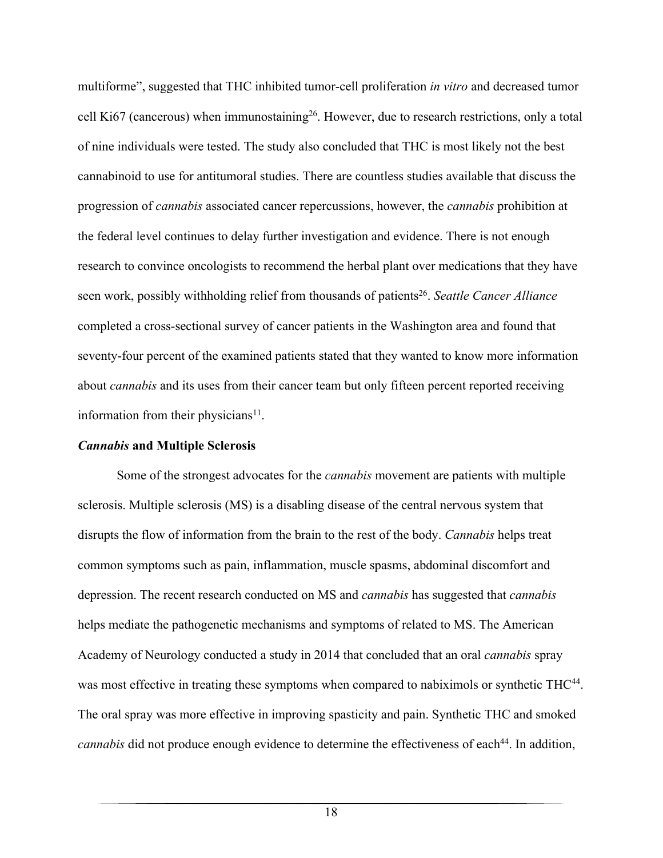multiforme", suggested that THC inhibited tumor-cell proliferation *in vitro* and decreased tumor cell Ki67 (cancerous) when immunostaining<sup>26</sup>. However, due to research restrictions, only a total of nine individuals were tested. The study also concluded that THC is most likely not the best cannabinoid to use for antitumoral studies. There are countless studies available that discuss the progression of *cannabis* associated cancer repercussions, however, the *cannabis* prohibition at the federal level continues to delay further investigation and evidence. There is not enough research to convince oncologists to recommend the herbal plant over medications that they have seen work, possibly withholding relief from thousands of patients<sup>26</sup>. *Seattle Cancer Alliance* completed a cross-sectional survey of cancer patients in the Washington area and found that seventy-four percent of the examined patients stated that they wanted to know more information about *cannabis* and its uses from their cancer team but only fifteen percent reported receiving information from their physicians $11$ .

#### *Cannabis* **and Multiple Sclerosis**

 Some of the strongest advocates for the *cannabis* movement are patients with multiple sclerosis. Multiple sclerosis (MS) is a disabling disease of the central nervous system that disrupts the flow of information from the brain to the rest of the body. *Cannabis* helps treat common symptoms such as pain, inflammation, muscle spasms, abdominal discomfort and depression. The recent research conducted on MS and *cannabis* has suggested that *cannabis* helps mediate the pathogenetic mechanisms and symptoms of related to MS. The American Academy of Neurology conducted a study in 2014 that concluded that an oral *cannabis* spray was most effective in treating these symptoms when compared to nabiximols or synthetic THC<sup>44</sup>. The oral spray was more effective in improving spasticity and pain. Synthetic THC and smoked *cannabis* did not produce enough evidence to determine the effectiveness of each<sup>44</sup>. In addition,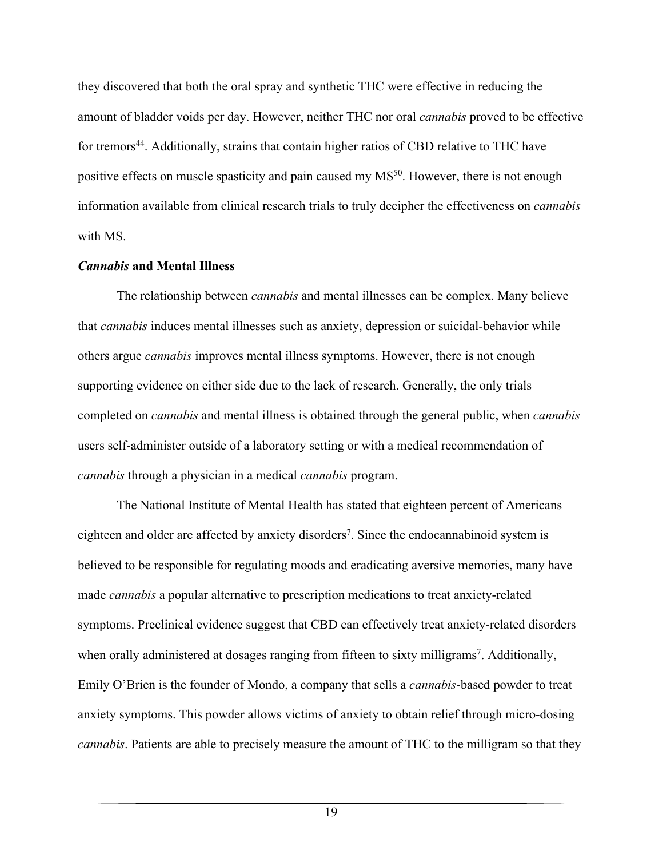they discovered that both the oral spray and synthetic THC were effective in reducing the amount of bladder voids per day. However, neither THC nor oral *cannabis* proved to be effective for tremors<sup>44</sup>. Additionally, strains that contain higher ratios of CBD relative to THC have positive effects on muscle spasticity and pain caused my MS<sup>50</sup>. However, there is not enough information available from clinical research trials to truly decipher the effectiveness on *cannabis* with MS.

#### *Cannabis* **and Mental Illness**

 The relationship between *cannabis* and mental illnesses can be complex. Many believe that *cannabis* induces mental illnesses such as anxiety, depression or suicidal-behavior while others argue *cannabis* improves mental illness symptoms. However, there is not enough supporting evidence on either side due to the lack of research. Generally, the only trials completed on *cannabis* and mental illness is obtained through the general public, when *cannabis* users self-administer outside of a laboratory setting or with a medical recommendation of *cannabis* through a physician in a medical *cannabis* program.

The National Institute of Mental Health has stated that eighteen percent of Americans eighteen and older are affected by anxiety disorders<sup>7</sup>. Since the endocannabinoid system is believed to be responsible for regulating moods and eradicating aversive memories, many have made *cannabis* a popular alternative to prescription medications to treat anxiety-related symptoms. Preclinical evidence suggest that CBD can effectively treat anxiety-related disorders when orally administered at dosages ranging from fifteen to sixty milligrams<sup>7</sup>. Additionally, Emily O'Brien is the founder of Mondo, a company that sells a *cannabis*-based powder to treat anxiety symptoms. This powder allows victims of anxiety to obtain relief through micro-dosing *cannabis*. Patients are able to precisely measure the amount of THC to the milligram so that they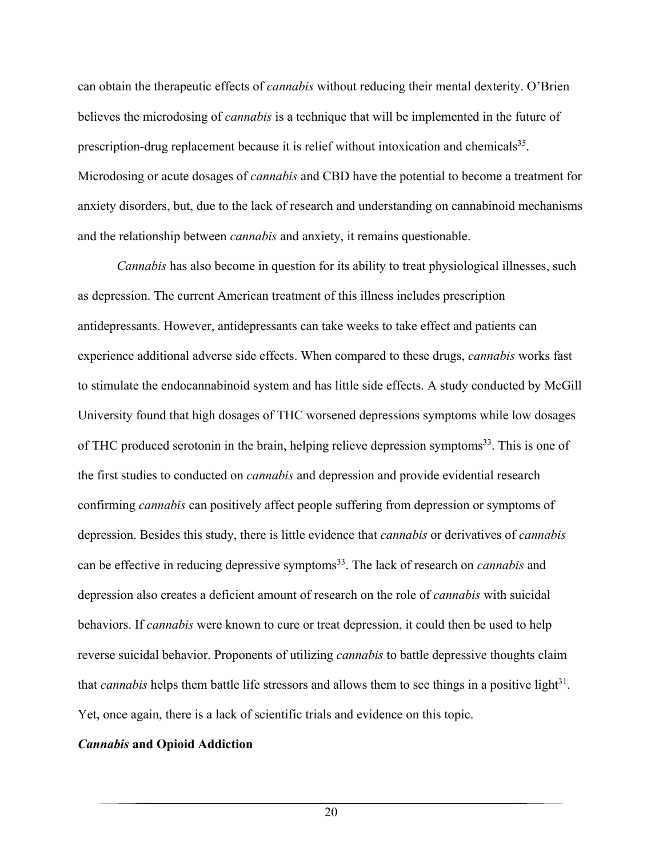can obtain the therapeutic effects of *cannabis* without reducing their mental dexterity. O'Brien believes the microdosing of *cannabis* is a technique that will be implemented in the future of prescription-drug replacement because it is relief without intoxication and chemicals<sup>35</sup>. Microdosing or acute dosages of *cannabis* and CBD have the potential to become a treatment for anxiety disorders, but, due to the lack of research and understanding on cannabinoid mechanisms and the relationship between *cannabis* and anxiety, it remains questionable.

*Cannabis* has also become in question for its ability to treat physiological illnesses, such as depression. The current American treatment of this illness includes prescription antidepressants. However, antidepressants can take weeks to take effect and patients can experience additional adverse side effects. When compared to these drugs, *cannabis* works fast to stimulate the endocannabinoid system and has little side effects. A study conducted by McGill University found that high dosages of THC worsened depressions symptoms while low dosages of THC produced serotonin in the brain, helping relieve depression symptoms $33$ . This is one of the first studies to conducted on *cannabis* and depression and provide evidential research confirming *cannabis* can positively affect people suffering from depression or symptoms of depression. Besides this study, there is little evidence that *cannabis* or derivatives of *cannabis* can be effective in reducing depressive symptoms<sup>33</sup>. The lack of research on *cannabis* and depression also creates a deficient amount of research on the role of *cannabis* with suicidal behaviors. If *cannabis* were known to cure or treat depression, it could then be used to help reverse suicidal behavior. Proponents of utilizing *cannabis* to battle depressive thoughts claim that *cannabis* helps them battle life stressors and allows them to see things in a positive light<sup>31</sup>. Yet, once again, there is a lack of scientific trials and evidence on this topic.

## *Cannabis* **and Opioid Addiction**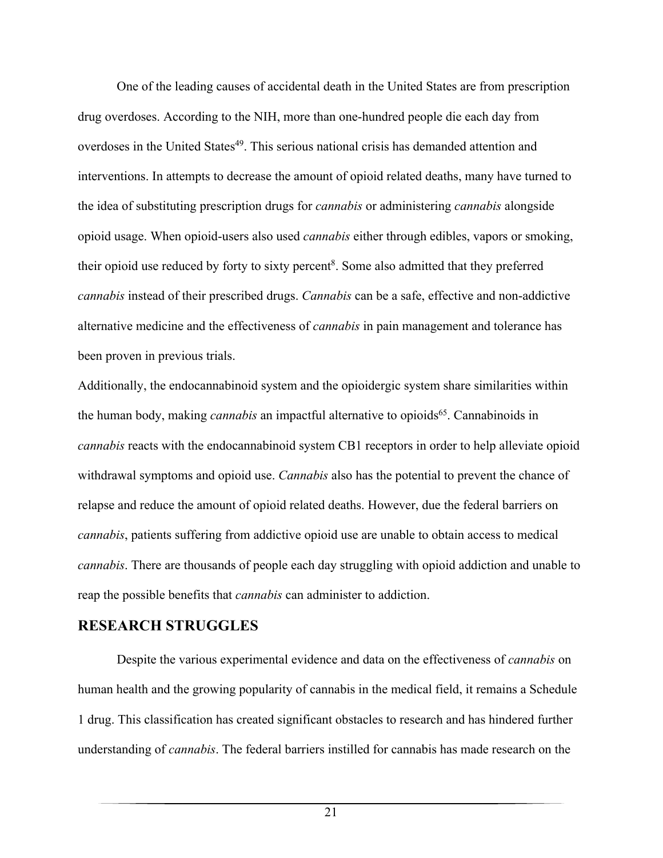One of the leading causes of accidental death in the United States are from prescription drug overdoses. According to the NIH, more than one-hundred people die each day from overdoses in the United States<sup>49</sup>. This serious national crisis has demanded attention and interventions. In attempts to decrease the amount of opioid related deaths, many have turned to the idea of substituting prescription drugs for *cannabis* or administering *cannabis* alongside opioid usage. When opioid-users also used *cannabis* either through edibles, vapors or smoking, their opioid use reduced by forty to sixty percent<sup>8</sup>. Some also admitted that they preferred *cannabis* instead of their prescribed drugs. *Cannabis* can be a safe, effective and non-addictive alternative medicine and the effectiveness of *cannabis* in pain management and tolerance has been proven in previous trials.

Additionally, the endocannabinoid system and the opioidergic system share similarities within the human body, making *cannabis* an impactful alternative to opioids<sup>65</sup>. Cannabinoids in *cannabis* reacts with the endocannabinoid system CB1 receptors in order to help alleviate opioid withdrawal symptoms and opioid use. *Cannabis* also has the potential to prevent the chance of relapse and reduce the amount of opioid related deaths. However, due the federal barriers on *cannabis*, patients suffering from addictive opioid use are unable to obtain access to medical *cannabis*. There are thousands of people each day struggling with opioid addiction and unable to reap the possible benefits that *cannabis* can administer to addiction.

# **RESEARCH STRUGGLES**

Despite the various experimental evidence and data on the effectiveness of *cannabis* on human health and the growing popularity of cannabis in the medical field, it remains a Schedule 1 drug. This classification has created significant obstacles to research and has hindered further understanding of *cannabis*. The federal barriers instilled for cannabis has made research on the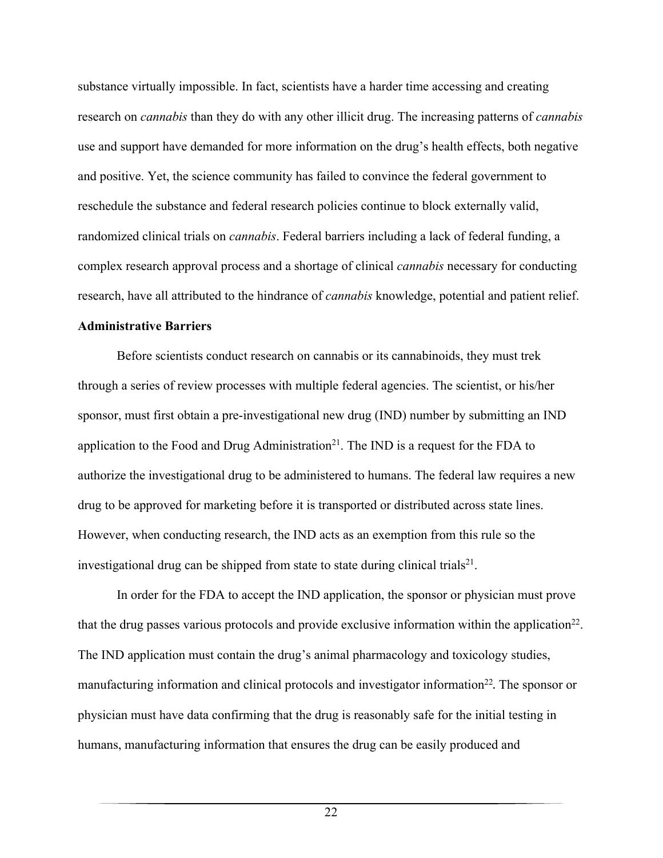substance virtually impossible. In fact, scientists have a harder time accessing and creating research on *cannabis* than they do with any other illicit drug. The increasing patterns of *cannabis* use and support have demanded for more information on the drug's health effects, both negative and positive. Yet, the science community has failed to convince the federal government to reschedule the substance and federal research policies continue to block externally valid, randomized clinical trials on *cannabis*. Federal barriers including a lack of federal funding, a complex research approval process and a shortage of clinical *cannabis* necessary for conducting research, have all attributed to the hindrance of *cannabis* knowledge, potential and patient relief.

#### **Administrative Barriers**

Before scientists conduct research on cannabis or its cannabinoids, they must trek through a series of review processes with multiple federal agencies. The scientist, or his/her sponsor, must first obtain a pre-investigational new drug (IND) number by submitting an IND application to the Food and Drug Administration<sup>21</sup>. The IND is a request for the FDA to authorize the investigational drug to be administered to humans. The federal law requires a new drug to be approved for marketing before it is transported or distributed across state lines. However, when conducting research, the IND acts as an exemption from this rule so the investigational drug can be shipped from state to state during clinical trials<sup>21</sup>.

In order for the FDA to accept the IND application, the sponsor or physician must prove that the drug passes various protocols and provide exclusive information within the application $^{22}$ . The IND application must contain the drug's animal pharmacology and toxicology studies, manufacturing information and clinical protocols and investigator information<sup>22</sup>. The sponsor or physician must have data confirming that the drug is reasonably safe for the initial testing in humans, manufacturing information that ensures the drug can be easily produced and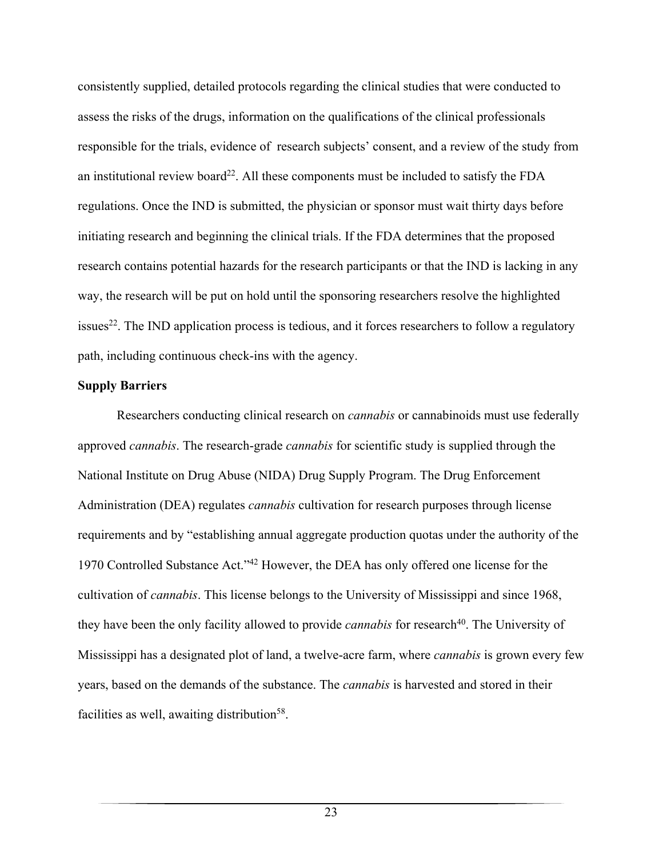consistently supplied, detailed protocols regarding the clinical studies that were conducted to assess the risks of the drugs, information on the qualifications of the clinical professionals responsible for the trials, evidence of research subjects' consent, and a review of the study from an institutional review board<sup>22</sup>. All these components must be included to satisfy the FDA regulations. Once the IND is submitted, the physician or sponsor must wait thirty days before initiating research and beginning the clinical trials. If the FDA determines that the proposed research contains potential hazards for the research participants or that the IND is lacking in any way, the research will be put on hold until the sponsoring researchers resolve the highlighted  $issues<sup>22</sup>$ . The IND application process is tedious, and it forces researchers to follow a regulatory path, including continuous check-ins with the agency.

#### **Supply Barriers**

Researchers conducting clinical research on *cannabis* or cannabinoids must use federally approved *cannabis*. The research-grade *cannabis* for scientific study is supplied through the National Institute on Drug Abuse (NIDA) Drug Supply Program. The Drug Enforcement Administration (DEA) regulates *cannabis* cultivation for research purposes through license requirements and by "establishing annual aggregate production quotas under the authority of the 1970 Controlled Substance Act."42 However, the DEA has only offered one license for the cultivation of *cannabis*. This license belongs to the University of Mississippi and since 1968, they have been the only facility allowed to provide *cannabis* for research<sup>40</sup>. The University of Mississippi has a designated plot of land, a twelve-acre farm, where *cannabis* is grown every few years, based on the demands of the substance. The *cannabis* is harvested and stored in their facilities as well, awaiting distribution<sup>58</sup>.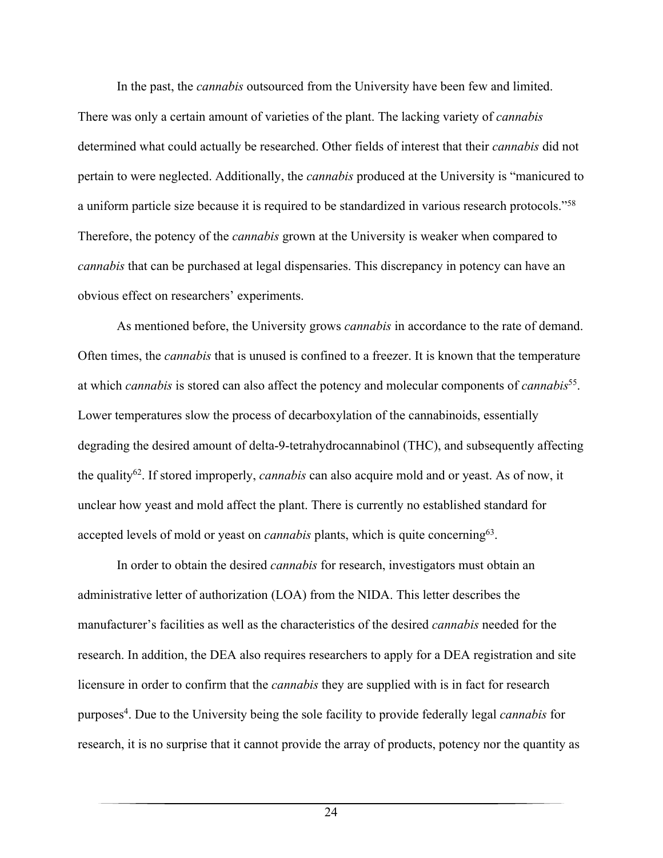In the past, the *cannabis* outsourced from the University have been few and limited. There was only a certain amount of varieties of the plant. The lacking variety of *cannabis* determined what could actually be researched. Other fields of interest that their *cannabis* did not pertain to were neglected. Additionally, the *cannabis* produced at the University is "manicured to a uniform particle size because it is required to be standardized in various research protocols."58 Therefore, the potency of the *cannabis* grown at the University is weaker when compared to *cannabis* that can be purchased at legal dispensaries. This discrepancy in potency can have an obvious effect on researchers' experiments.

As mentioned before, the University grows *cannabis* in accordance to the rate of demand. Often times, the *cannabis* that is unused is confined to a freezer. It is known that the temperature at which *cannabis* is stored can also affect the potency and molecular components of *cannabis*55. Lower temperatures slow the process of decarboxylation of the cannabinoids, essentially degrading the desired amount of delta-9-tetrahydrocannabinol (THC), and subsequently affecting the quality62. If stored improperly, *cannabis* can also acquire mold and or yeast. As of now, it unclear how yeast and mold affect the plant. There is currently no established standard for accepted levels of mold or yeast on *cannabis* plants, which is quite concerning<sup>63</sup>.

In order to obtain the desired *cannabis* for research, investigators must obtain an administrative letter of authorization (LOA) from the NIDA. This letter describes the manufacturer's facilities as well as the characteristics of the desired *cannabis* needed for the research. In addition, the DEA also requires researchers to apply for a DEA registration and site licensure in order to confirm that the *cannabis* they are supplied with is in fact for research purposes<sup>4</sup>. Due to the University being the sole facility to provide federally legal *cannabis* for research, it is no surprise that it cannot provide the array of products, potency nor the quantity as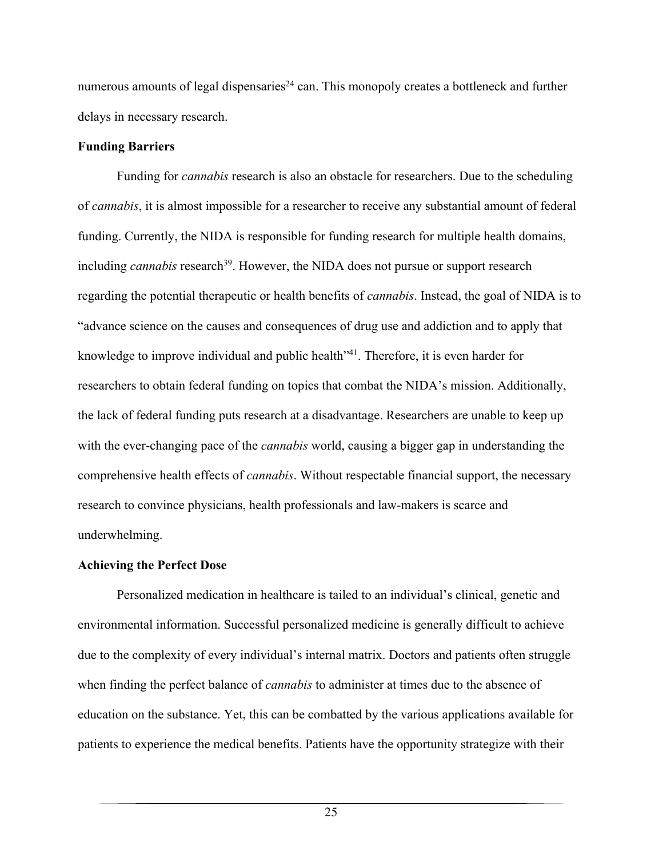numerous amounts of legal dispensaries<sup>24</sup> can. This monopoly creates a bottleneck and further delays in necessary research.

### **Funding Barriers**

Funding for *cannabis* research is also an obstacle for researchers. Due to the scheduling of *cannabis*, it is almost impossible for a researcher to receive any substantial amount of federal funding. Currently, the NIDA is responsible for funding research for multiple health domains, including *cannabis* research<sup>39</sup>. However, the NIDA does not pursue or support research regarding the potential therapeutic or health benefits of *cannabis*. Instead, the goal of NIDA is to "advance science on the causes and consequences of drug use and addiction and to apply that knowledge to improve individual and public health<sup>341</sup>. Therefore, it is even harder for researchers to obtain federal funding on topics that combat the NIDA's mission. Additionally, the lack of federal funding puts research at a disadvantage. Researchers are unable to keep up with the ever-changing pace of the *cannabis* world, causing a bigger gap in understanding the comprehensive health effects of *cannabis*. Without respectable financial support, the necessary research to convince physicians, health professionals and law-makers is scarce and underwhelming.

## **Achieving the Perfect Dose**

Personalized medication in healthcare is tailed to an individual's clinical, genetic and environmental information. Successful personalized medicine is generally difficult to achieve due to the complexity of every individual's internal matrix. Doctors and patients often struggle when finding the perfect balance of *cannabis* to administer at times due to the absence of education on the substance. Yet, this can be combatted by the various applications available for patients to experience the medical benefits. Patients have the opportunity strategize with their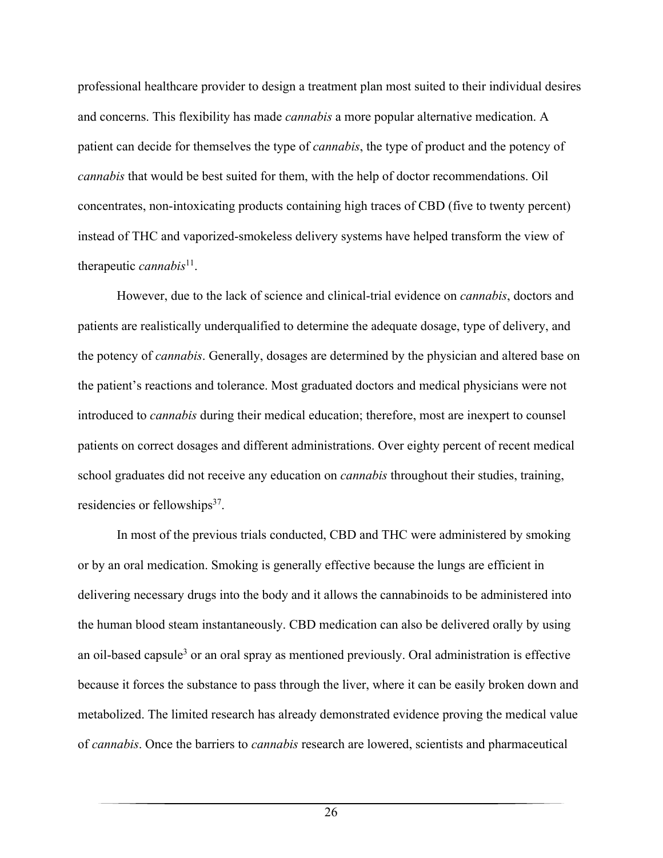professional healthcare provider to design a treatment plan most suited to their individual desires and concerns. This flexibility has made *cannabis* a more popular alternative medication. A patient can decide for themselves the type of *cannabis*, the type of product and the potency of *cannabis* that would be best suited for them, with the help of doctor recommendations. Oil concentrates, non-intoxicating products containing high traces of CBD (five to twenty percent) instead of THC and vaporized-smokeless delivery systems have helped transform the view of therapeutic *cannabis*<sup>11</sup>.

However, due to the lack of science and clinical-trial evidence on *cannabis*, doctors and patients are realistically underqualified to determine the adequate dosage, type of delivery, and the potency of *cannabis*. Generally, dosages are determined by the physician and altered base on the patient's reactions and tolerance. Most graduated doctors and medical physicians were not introduced to *cannabis* during their medical education; therefore, most are inexpert to counsel patients on correct dosages and different administrations. Over eighty percent of recent medical school graduates did not receive any education on *cannabis* throughout their studies, training, residencies or fellowships $37$ .

In most of the previous trials conducted, CBD and THC were administered by smoking or by an oral medication. Smoking is generally effective because the lungs are efficient in delivering necessary drugs into the body and it allows the cannabinoids to be administered into the human blood steam instantaneously. CBD medication can also be delivered orally by using an oil-based capsule<sup>3</sup> or an oral spray as mentioned previously. Oral administration is effective because it forces the substance to pass through the liver, where it can be easily broken down and metabolized. The limited research has already demonstrated evidence proving the medical value of *cannabis*. Once the barriers to *cannabis* research are lowered, scientists and pharmaceutical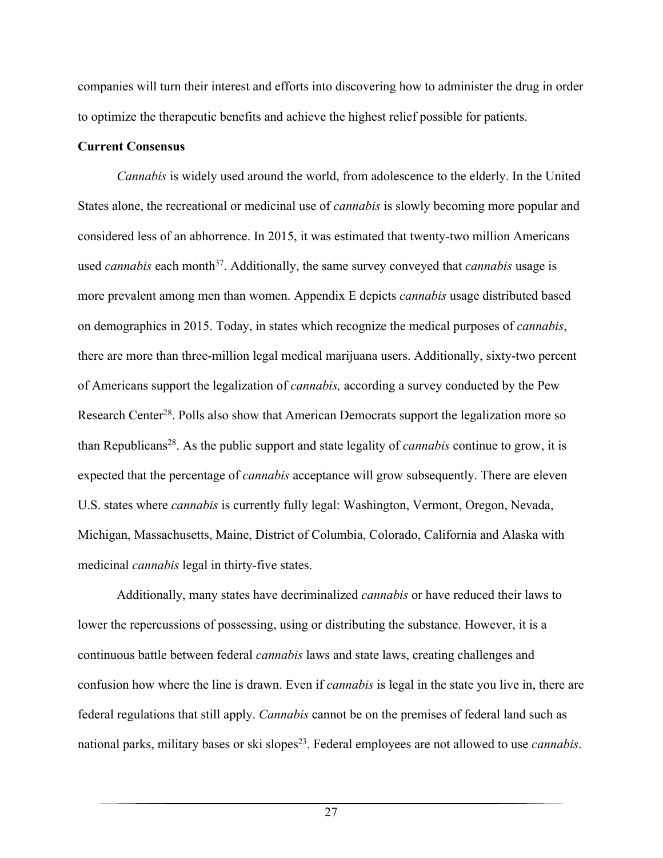companies will turn their interest and efforts into discovering how to administer the drug in order to optimize the therapeutic benefits and achieve the highest relief possible for patients.

### **Current Consensus**

*Cannabis* is widely used around the world, from adolescence to the elderly. In the United States alone, the recreational or medicinal use of *cannabis* is slowly becoming more popular and considered less of an abhorrence. In 2015, it was estimated that twenty-two million Americans used *cannabis* each month<sup>37</sup>. Additionally, the same survey conveyed that *cannabis* usage is more prevalent among men than women. Appendix E depicts *cannabis* usage distributed based on demographics in 2015. Today, in states which recognize the medical purposes of *cannabis*, there are more than three-million legal medical marijuana users. Additionally, sixty-two percent of Americans support the legalization of *cannabis,* according a survey conducted by the Pew Research Center<sup>28</sup>. Polls also show that American Democrats support the legalization more so than Republicans28. As the public support and state legality of *cannabis* continue to grow, it is expected that the percentage of *cannabis* acceptance will grow subsequently. There are eleven U.S. states where *cannabis* is currently fully legal: Washington, Vermont, Oregon, Nevada, Michigan, Massachusetts, Maine, District of Columbia, Colorado, California and Alaska with medicinal *cannabis* legal in thirty-five states.

Additionally, many states have decriminalized *cannabis* or have reduced their laws to lower the repercussions of possessing, using or distributing the substance. However, it is a continuous battle between federal *cannabis* laws and state laws, creating challenges and confusion how where the line is drawn. Even if *cannabis* is legal in the state you live in, there are federal regulations that still apply. *Cannabis* cannot be on the premises of federal land such as national parks, military bases or ski slopes<sup>23</sup>. Federal employees are not allowed to use *cannabis*.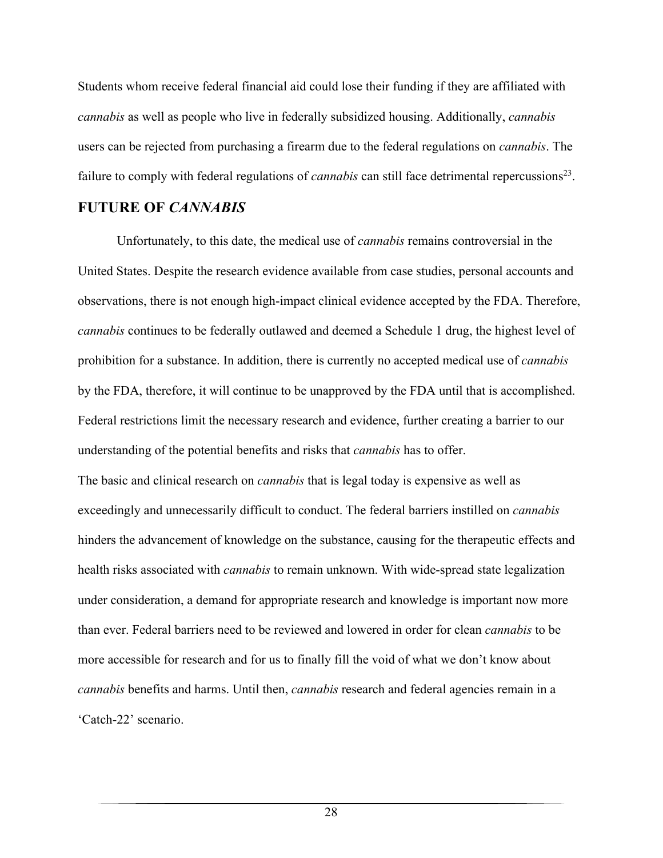Students whom receive federal financial aid could lose their funding if they are affiliated with *cannabis* as well as people who live in federally subsidized housing. Additionally, *cannabis* users can be rejected from purchasing a firearm due to the federal regulations on *cannabis*. The failure to comply with federal regulations of *cannabis* can still face detrimental repercussions<sup>23</sup>.

# **FUTURE OF** *CANNABIS*

Unfortunately, to this date, the medical use of *cannabis* remains controversial in the United States. Despite the research evidence available from case studies, personal accounts and observations, there is not enough high-impact clinical evidence accepted by the FDA. Therefore, *cannabis* continues to be federally outlawed and deemed a Schedule 1 drug, the highest level of prohibition for a substance. In addition, there is currently no accepted medical use of *cannabis* by the FDA, therefore, it will continue to be unapproved by the FDA until that is accomplished. Federal restrictions limit the necessary research and evidence, further creating a barrier to our understanding of the potential benefits and risks that *cannabis* has to offer.

The basic and clinical research on *cannabis* that is legal today is expensive as well as exceedingly and unnecessarily difficult to conduct. The federal barriers instilled on *cannabis* hinders the advancement of knowledge on the substance, causing for the therapeutic effects and health risks associated with *cannabis* to remain unknown. With wide-spread state legalization under consideration, a demand for appropriate research and knowledge is important now more than ever. Federal barriers need to be reviewed and lowered in order for clean *cannabis* to be more accessible for research and for us to finally fill the void of what we don't know about *cannabis* benefits and harms. Until then, *cannabis* research and federal agencies remain in a 'Catch-22' scenario.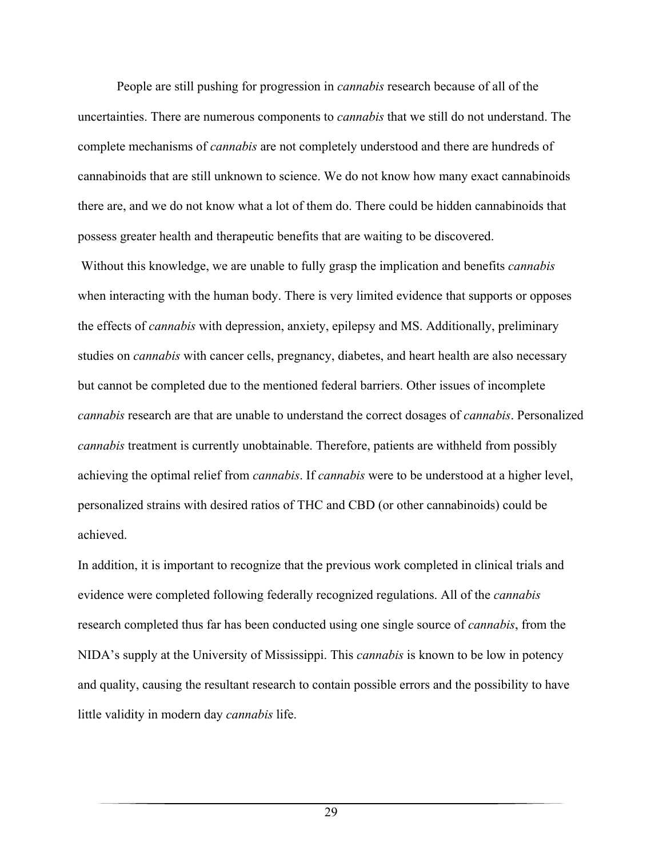People are still pushing for progression in *cannabis* research because of all of the uncertainties. There are numerous components to *cannabis* that we still do not understand. The complete mechanisms of *cannabis* are not completely understood and there are hundreds of cannabinoids that are still unknown to science. We do not know how many exact cannabinoids there are, and we do not know what a lot of them do. There could be hidden cannabinoids that possess greater health and therapeutic benefits that are waiting to be discovered.

 Without this knowledge, we are unable to fully grasp the implication and benefits *cannabis* when interacting with the human body. There is very limited evidence that supports or opposes the effects of *cannabis* with depression, anxiety, epilepsy and MS. Additionally, preliminary studies on *cannabis* with cancer cells, pregnancy, diabetes, and heart health are also necessary but cannot be completed due to the mentioned federal barriers. Other issues of incomplete *cannabis* research are that are unable to understand the correct dosages of *cannabis*. Personalized *cannabis* treatment is currently unobtainable. Therefore, patients are withheld from possibly achieving the optimal relief from *cannabis*. If *cannabis* were to be understood at a higher level, personalized strains with desired ratios of THC and CBD (or other cannabinoids) could be achieved.

In addition, it is important to recognize that the previous work completed in clinical trials and evidence were completed following federally recognized regulations. All of the *cannabis* research completed thus far has been conducted using one single source of *cannabis*, from the NIDA's supply at the University of Mississippi. This *cannabis* is known to be low in potency and quality, causing the resultant research to contain possible errors and the possibility to have little validity in modern day *cannabis* life.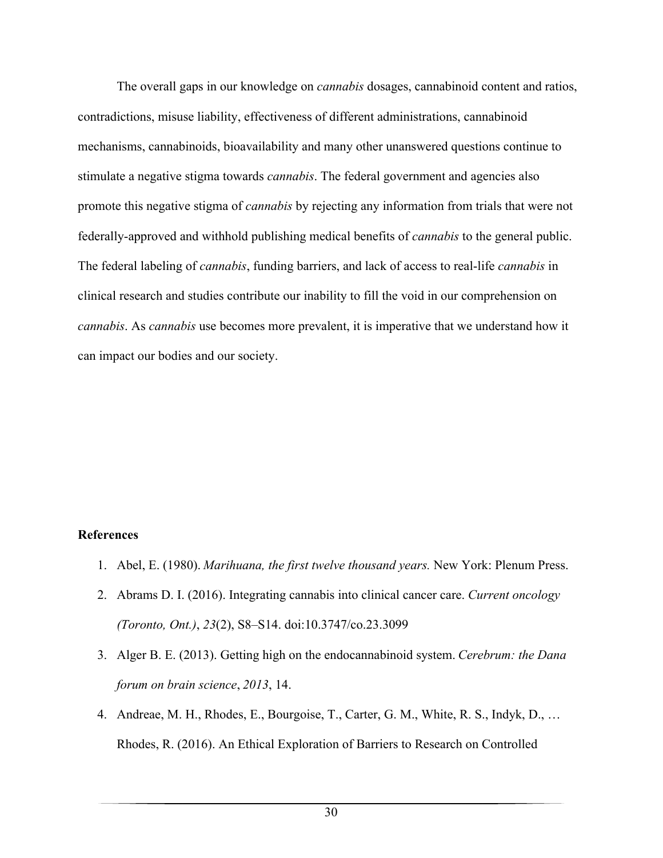The overall gaps in our knowledge on *cannabis* dosages, cannabinoid content and ratios, contradictions, misuse liability, effectiveness of different administrations, cannabinoid mechanisms, cannabinoids, bioavailability and many other unanswered questions continue to stimulate a negative stigma towards *cannabis*. The federal government and agencies also promote this negative stigma of *cannabis* by rejecting any information from trials that were not federally-approved and withhold publishing medical benefits of *cannabis* to the general public. The federal labeling of *cannabis*, funding barriers, and lack of access to real-life *cannabis* in clinical research and studies contribute our inability to fill the void in our comprehension on *cannabis*. As *cannabis* use becomes more prevalent, it is imperative that we understand how it can impact our bodies and our society.

## **References**

- 1. Abel, E. (1980). *Marihuana, the first twelve thousand years.* New York: Plenum Press.
- 2. Abrams D. I. (2016). Integrating cannabis into clinical cancer care. *Current oncology (Toronto, Ont.)*, *23*(2), S8–S14. doi:10.3747/co.23.3099
- 3. Alger B. E. (2013). Getting high on the endocannabinoid system. *Cerebrum: the Dana forum on brain science*, *2013*, 14.
- 4. Andreae, M. H., Rhodes, E., Bourgoise, T., Carter, G. M., White, R. S., Indyk, D., … Rhodes, R. (2016). An Ethical Exploration of Barriers to Research on Controlled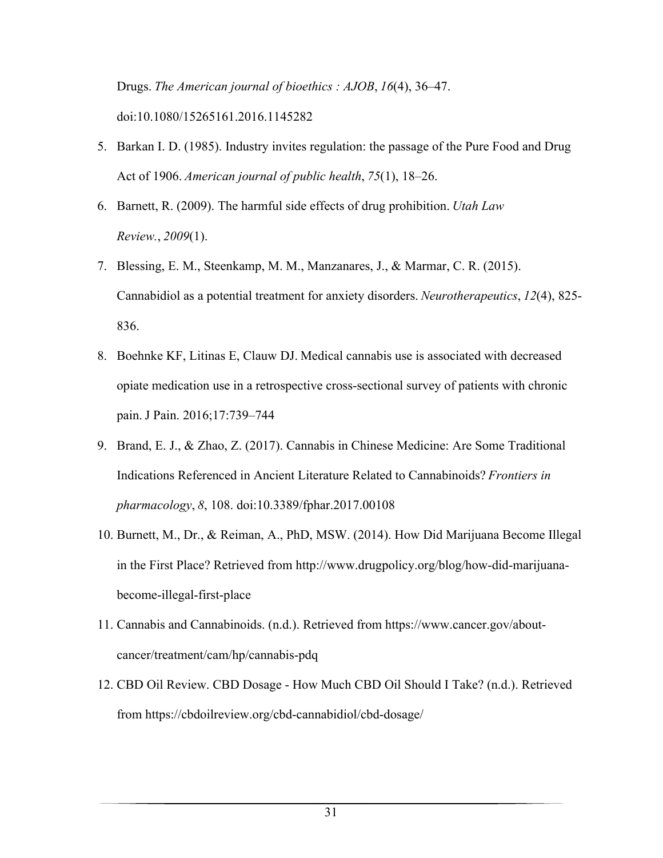Drugs. *The American journal of bioethics : AJOB*, *16*(4), 36–47. doi:10.1080/15265161.2016.1145282

- 5. Barkan I. D. (1985). Industry invites regulation: the passage of the Pure Food and Drug Act of 1906. *American journal of public health*, *75*(1), 18–26.
- 6. Barnett, R. (2009). The harmful side effects of drug prohibition. *Utah Law Review.*, *2009*(1).
- 7. Blessing, E. M., Steenkamp, M. M., Manzanares, J., & Marmar, C. R. (2015). Cannabidiol as a potential treatment for anxiety disorders. *Neurotherapeutics*, *12*(4), 825- 836.
- 8. Boehnke KF, Litinas E, Clauw DJ. Medical cannabis use is associated with decreased opiate medication use in a retrospective cross-sectional survey of patients with chronic pain. J Pain. 2016;17:739–744
- 9. Brand, E. J., & Zhao, Z. (2017). Cannabis in Chinese Medicine: Are Some Traditional Indications Referenced in Ancient Literature Related to Cannabinoids? *Frontiers in pharmacology*, *8*, 108. doi:10.3389/fphar.2017.00108
- 10. Burnett, M., Dr., & Reiman, A., PhD, MSW. (2014). How Did Marijuana Become Illegal in the First Place? Retrieved from http://www.drugpolicy.org/blog/how-did-marijuanabecome-illegal-first-place
- 11. Cannabis and Cannabinoids. (n.d.). Retrieved from https://www.cancer.gov/aboutcancer/treatment/cam/hp/cannabis-pdq
- 12. CBD Oil Review. CBD Dosage How Much CBD Oil Should I Take? (n.d.). Retrieved from https://cbdoilreview.org/cbd-cannabidiol/cbd-dosage/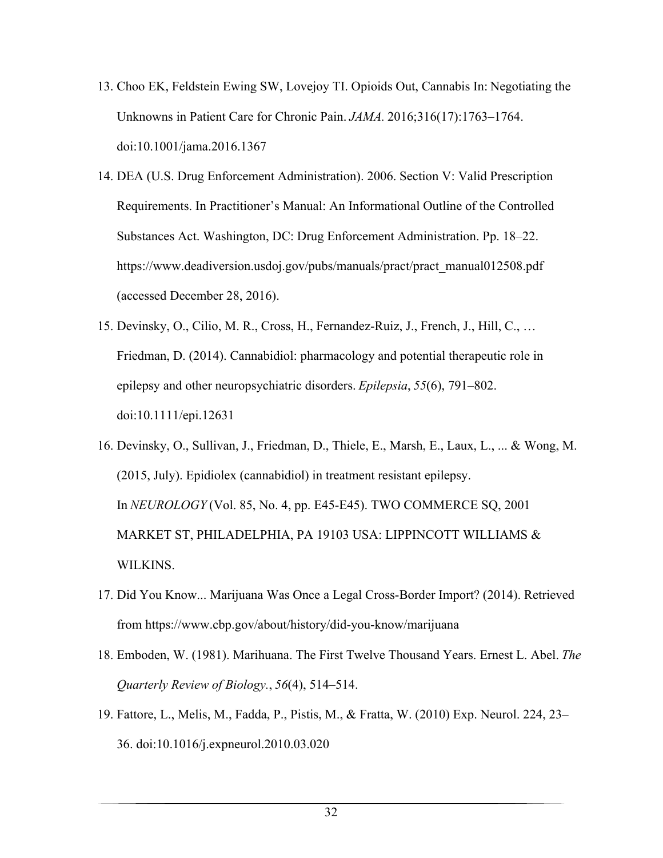- 13. Choo EK, Feldstein Ewing SW, Lovejoy TI. Opioids Out, Cannabis In: Negotiating the Unknowns in Patient Care for Chronic Pain. *JAMA.* 2016;316(17):1763–1764. doi:10.1001/jama.2016.1367
- 14. DEA (U.S. Drug Enforcement Administration). 2006. Section V: Valid Prescription Requirements. In Practitioner's Manual: An Informational Outline of the Controlled Substances Act. Washington, DC: Drug Enforcement Administration. Pp. 18–22. https://www.deadiversion.usdoj.gov/pubs/manuals/pract/pract\_manual012508.pdf (accessed December 28, 2016).
- 15. Devinsky, O., Cilio, M. R., Cross, H., Fernandez-Ruiz, J., French, J., Hill, C., … Friedman, D. (2014). Cannabidiol: pharmacology and potential therapeutic role in epilepsy and other neuropsychiatric disorders. *Epilepsia*, *55*(6), 791–802. doi:10.1111/epi.12631
- 16. Devinsky, O., Sullivan, J., Friedman, D., Thiele, E., Marsh, E., Laux, L., ... & Wong, M. (2015, July). Epidiolex (cannabidiol) in treatment resistant epilepsy. In *NEUROLOGY* (Vol. 85, No. 4, pp. E45-E45). TWO COMMERCE SQ, 2001 MARKET ST, PHILADELPHIA, PA 19103 USA: LIPPINCOTT WILLIAMS & WILKINS.
- 17. Did You Know... Marijuana Was Once a Legal Cross-Border Import? (2014). Retrieved from https://www.cbp.gov/about/history/did-you-know/marijuana
- 18. Emboden, W. (1981). Marihuana. The First Twelve Thousand Years. Ernest L. Abel. *The Quarterly Review of Biology.*, *56*(4), 514–514.
- 19. Fattore, L., Melis, M., Fadda, P., Pistis, M., & Fratta, W. (2010) Exp. Neurol. 224, 23– 36. doi:10.1016/j.expneurol.2010.03.020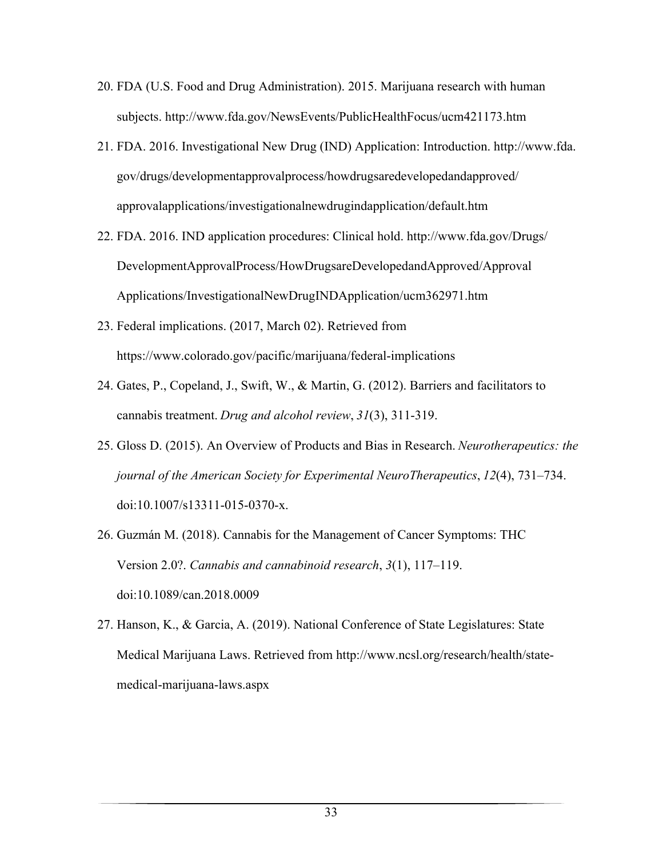- 20. FDA (U.S. Food and Drug Administration). 2015. Marijuana research with human subjects. http://www.fda.gov/NewsEvents/PublicHealthFocus/ucm421173.htm
- 21. FDA. 2016. Investigational New Drug (IND) Application: Introduction. http://www.fda. gov/drugs/developmentapprovalprocess/howdrugsaredevelopedandapproved/ approvalapplications/investigationalnewdrugindapplication/default.htm
- 22. FDA. 2016. IND application procedures: Clinical hold. http://www.fda.gov/Drugs/ DevelopmentApprovalProcess/HowDrugsareDevelopedandApproved/Approval Applications/InvestigationalNewDrugINDApplication/ucm362971.htm
- 23. Federal implications. (2017, March 02). Retrieved from https://www.colorado.gov/pacific/marijuana/federal-implications
- 24. Gates, P., Copeland, J., Swift, W., & Martin, G. (2012). Barriers and facilitators to cannabis treatment. *Drug and alcohol review*, *31*(3), 311-319.
- 25. Gloss D. (2015). An Overview of Products and Bias in Research. *Neurotherapeutics: the journal of the American Society for Experimental NeuroTherapeutics*, *12*(4), 731–734. doi:10.1007/s13311-015-0370-x.
- 26. Guzmán M. (2018). Cannabis for the Management of Cancer Symptoms: THC Version 2.0?. *Cannabis and cannabinoid research*, *3*(1), 117–119. doi:10.1089/can.2018.0009
- 27. Hanson, K., & Garcia, A. (2019). National Conference of State Legislatures: State Medical Marijuana Laws. Retrieved from http://www.ncsl.org/research/health/statemedical-marijuana-laws.aspx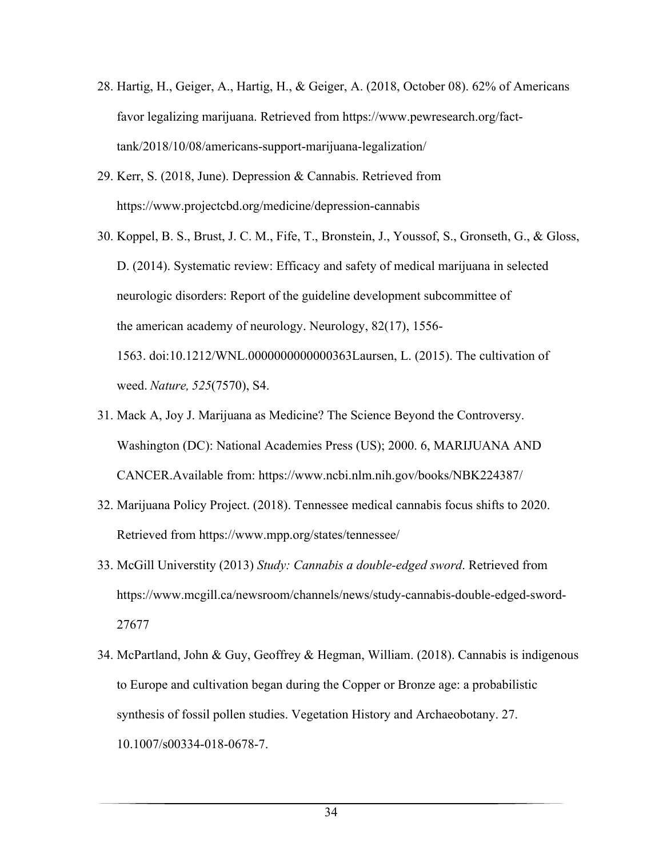- 28. Hartig, H., Geiger, A., Hartig, H., & Geiger, A. (2018, October 08). 62% of Americans favor legalizing marijuana. Retrieved from https://www.pewresearch.org/facttank/2018/10/08/americans-support-marijuana-legalization/
- 29. Kerr, S. (2018, June). Depression & Cannabis. Retrieved from https://www.projectcbd.org/medicine/depression-cannabis
- 30. Koppel, B. S., Brust, J. C. M., Fife, T., Bronstein, J., Youssof, S., Gronseth, G., & Gloss, D. (2014). Systematic review: Efficacy and safety of medical marijuana in selected neurologic disorders: Report of the guideline development subcommittee of the american academy of neurology. Neurology, 82(17), 1556- 1563. doi:10.1212/WNL.0000000000000363Laursen, L. (2015). The cultivation of weed.*Nature, 525*(7570), S4.
- 31. Mack A, Joy J. Marijuana as Medicine? The Science Beyond the Controversy. Washington (DC): National Academies Press (US); 2000. 6, MARIJUANA AND CANCER.Available from: https://www.ncbi.nlm.nih.gov/books/NBK224387/
- 32. Marijuana Policy Project. (2018). Tennessee medical cannabis focus shifts to 2020. Retrieved from https://www.mpp.org/states/tennessee/
- 33. McGill Universtity (2013) *Study: Cannabis a double-edged sword*. Retrieved from https://www.mcgill.ca/newsroom/channels/news/study-cannabis-double-edged-sword-27677
- 34. McPartland, John & Guy, Geoffrey & Hegman, William. (2018). Cannabis is indigenous to Europe and cultivation began during the Copper or Bronze age: a probabilistic synthesis of fossil pollen studies. Vegetation History and Archaeobotany. 27. 10.1007/s00334-018-0678-7.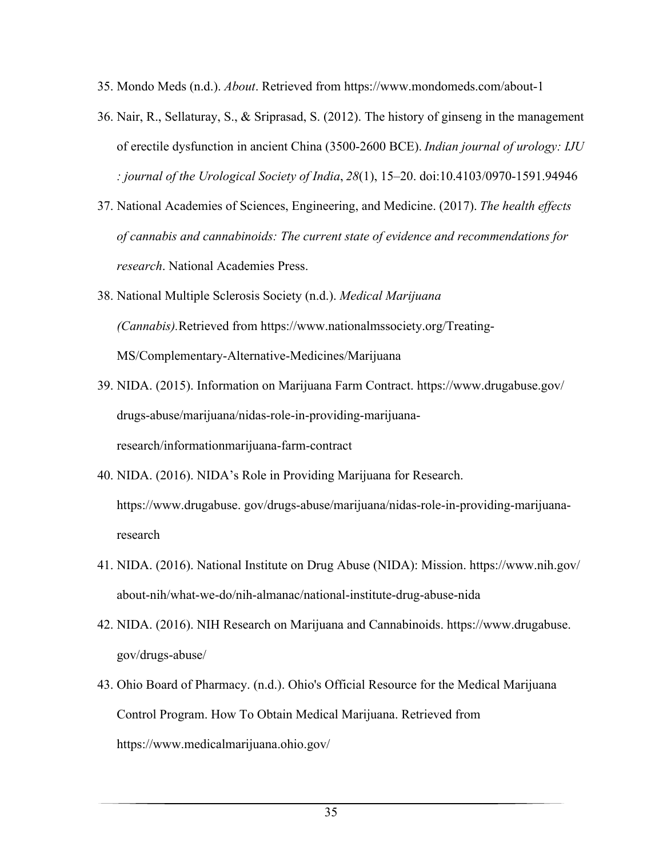- 35. Mondo Meds (n.d.). *About*. Retrieved from https://www.mondomeds.com/about-1
- 36. Nair, R., Sellaturay, S., & Sriprasad, S. (2012). The history of ginseng in the management of erectile dysfunction in ancient China (3500-2600 BCE). *Indian journal of urology: IJU : journal of the Urological Society of India*, *28*(1), 15–20. doi:10.4103/0970-1591.94946
- 37. National Academies of Sciences, Engineering, and Medicine. (2017). *The health effects of cannabis and cannabinoids: The current state of evidence and recommendations for research*. National Academies Press.
- 38. National Multiple Sclerosis Society (n.d.). *Medical Marijuana (Cannabis).*Retrieved from https://www.nationalmssociety.org/Treating-MS/Complementary-Alternative-Medicines/Marijuana
- 39. NIDA. (2015). Information on Marijuana Farm Contract. https://www.drugabuse.gov/ drugs-abuse/marijuana/nidas-role-in-providing-marijuanaresearch/informationmarijuana-farm-contract
- 40. NIDA. (2016). NIDA's Role in Providing Marijuana for Research. https://www.drugabuse. gov/drugs-abuse/marijuana/nidas-role-in-providing-marijuanaresearch
- 41. NIDA. (2016). National Institute on Drug Abuse (NIDA): Mission. https://www.nih.gov/ about-nih/what-we-do/nih-almanac/national-institute-drug-abuse-nida
- 42. NIDA. (2016). NIH Research on Marijuana and Cannabinoids. https://www.drugabuse. gov/drugs-abuse/
- 43. Ohio Board of Pharmacy. (n.d.). Ohio's Official Resource for the Medical Marijuana Control Program. How To Obtain Medical Marijuana. Retrieved from https://www.medicalmarijuana.ohio.gov/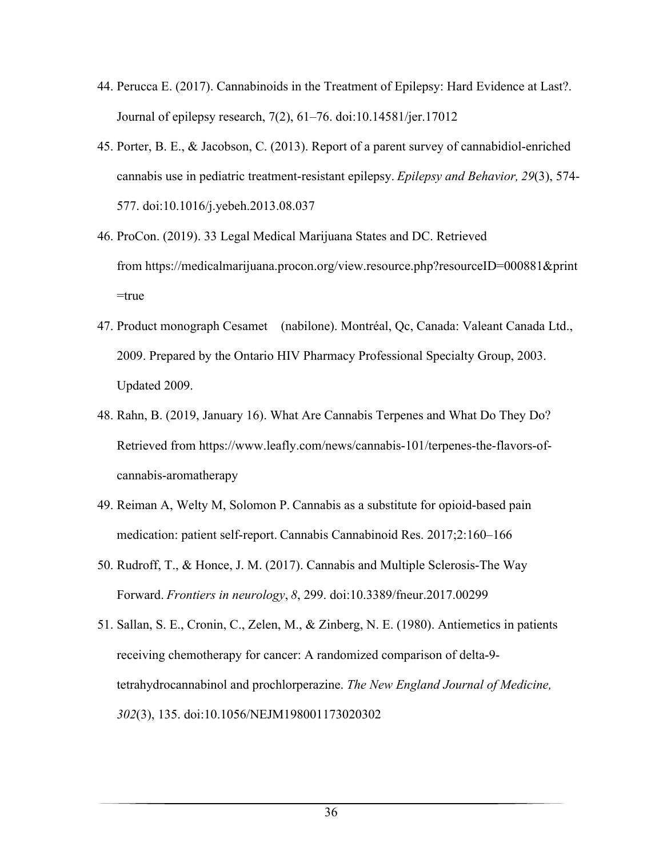- 44. Perucca E. (2017). Cannabinoids in the Treatment of Epilepsy: Hard Evidence at Last?. Journal of epilepsy research, 7(2), 61–76. doi:10.14581/jer.17012
- 45. Porter, B. E., & Jacobson, C. (2013). Report of a parent survey of cannabidiol-enriched cannabis use in pediatric treatment-resistant epilepsy.*Epilepsy and Behavior, 29*(3), 574- 577. doi:10.1016/j.yebeh.2013.08.037
- 46. ProCon. (2019). 33 Legal Medical Marijuana States and DC. Retrieved from https://medicalmarijuana.procon.org/view.resource.php?resourceID=000881&print =true
- 47. Product monograph Cesamet (nabilone). Montréal, Qc, Canada: Valeant Canada Ltd., 2009. Prepared by the Ontario HIV Pharmacy Professional Specialty Group, 2003. Updated 2009.
- 48. Rahn, B. (2019, January 16). What Are Cannabis Terpenes and What Do They Do? Retrieved from https://www.leafly.com/news/cannabis-101/terpenes-the-flavors-ofcannabis-aromatherapy
- 49. Reiman A, Welty M, Solomon P. Cannabis as a substitute for opioid-based pain medication: patient self-report. Cannabis Cannabinoid Res. 2017;2:160–166
- 50. Rudroff, T., & Honce, J. M. (2017). Cannabis and Multiple Sclerosis-The Way Forward. *Frontiers in neurology*, *8*, 299. doi:10.3389/fneur.2017.00299
- 51. Sallan, S. E., Cronin, C., Zelen, M., & Zinberg, N. E. (1980). Antiemetics in patients receiving chemotherapy for cancer: A randomized comparison of delta-9 tetrahydrocannabinol and prochlorperazine. *The New England Journal of Medicine, 302*(3), 135. doi:10.1056/NEJM198001173020302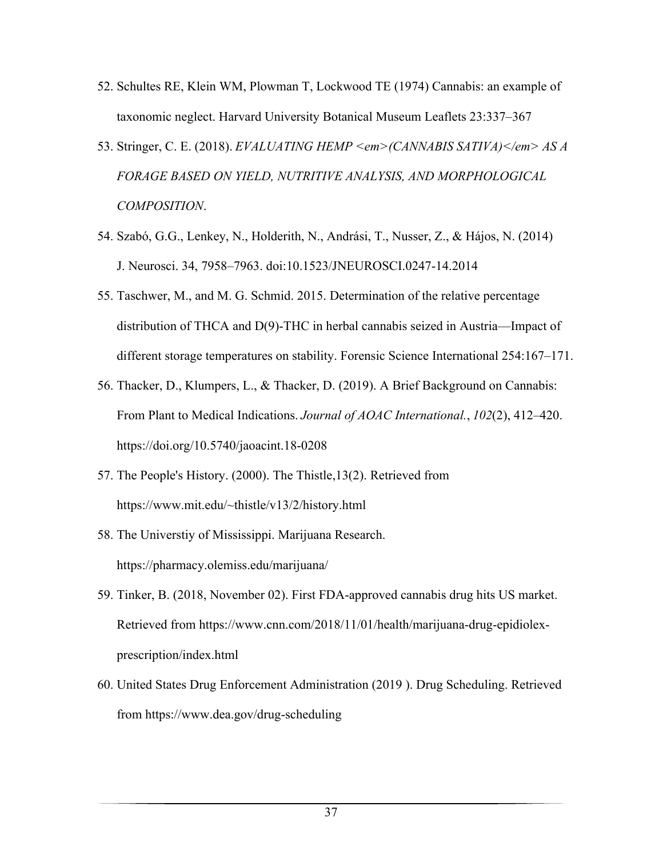- 52. Schultes RE, Klein WM, Plowman T, Lockwood TE (1974) Cannabis: an example of taxonomic neglect. Harvard University Botanical Museum Leaflets 23:337–367
- 53. Stringer, C. E. (2018). *EVALUATING HEMP <em>(CANNABIS SATIVA)</em> AS A FORAGE BASED ON YIELD, NUTRITIVE ANALYSIS, AND MORPHOLOGICAL COMPOSITION*.
- 54. Szabó, G.G., Lenkey, N., Holderith, N., Andrási, T., Nusser, Z., & Hájos, N. (2014) J. Neurosci. 34, 7958–7963. doi:10.1523/JNEUROSCI.0247-14.2014
- 55. Taschwer, M., and M. G. Schmid. 2015. Determination of the relative percentage distribution of THCA and D(9)-THC in herbal cannabis seized in Austria—Impact of different storage temperatures on stability. Forensic Science International 254:167–171.
- 56. Thacker, D., Klumpers, L., & Thacker, D. (2019). A Brief Background on Cannabis: From Plant to Medical Indications. *Journal of AOAC International.*, *102*(2), 412–420. https://doi.org/10.5740/jaoacint.18-0208
- 57. The People's History. (2000). The Thistle,13(2). Retrieved from https://www.mit.edu/~thistle/v13/2/history.html
- 58. The Universtiy of Mississippi. Marijuana Research. https://pharmacy.olemiss.edu/marijuana/
- 59. Tinker, B. (2018, November 02). First FDA-approved cannabis drug hits US market. Retrieved from https://www.cnn.com/2018/11/01/health/marijuana-drug-epidiolexprescription/index.html
- 60. United States Drug Enforcement Administration (2019 ). Drug Scheduling. Retrieved from https://www.dea.gov/drug-scheduling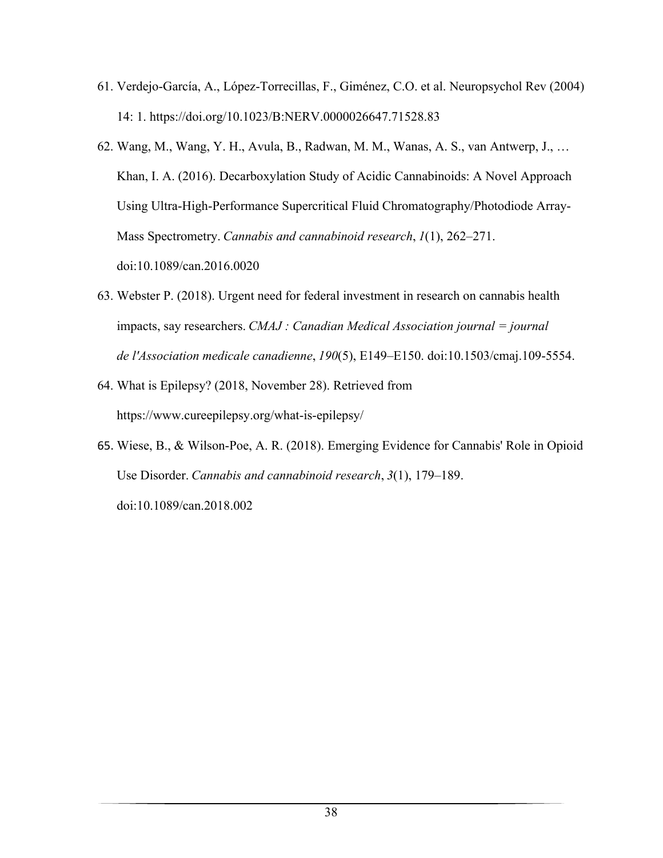- 61. Verdejo-García, A., López-Torrecillas, F., Giménez, C.O. et al. Neuropsychol Rev (2004) 14: 1. https://doi.org/10.1023/B:NERV.0000026647.71528.83
- 62. Wang, M., Wang, Y. H., Avula, B., Radwan, M. M., Wanas, A. S., van Antwerp, J., … Khan, I. A. (2016). Decarboxylation Study of Acidic Cannabinoids: A Novel Approach Using Ultra-High-Performance Supercritical Fluid Chromatography/Photodiode Array-Mass Spectrometry. *Cannabis and cannabinoid research*, *1*(1), 262–271. doi:10.1089/can.2016.0020
- 63. Webster P. (2018). Urgent need for federal investment in research on cannabis health impacts, say researchers. *CMAJ : Canadian Medical Association journal = journal de l'Association medicale canadienne*, *190*(5), E149–E150. doi:10.1503/cmaj.109-5554.
- 64. What is Epilepsy? (2018, November 28). Retrieved from https://www.cureepilepsy.org/what-is-epilepsy/
- 65. Wiese, B., & Wilson-Poe, A. R. (2018). Emerging Evidence for Cannabis' Role in Opioid Use Disorder. *Cannabis and cannabinoid research*, *3*(1), 179–189. doi:10.1089/can.2018.002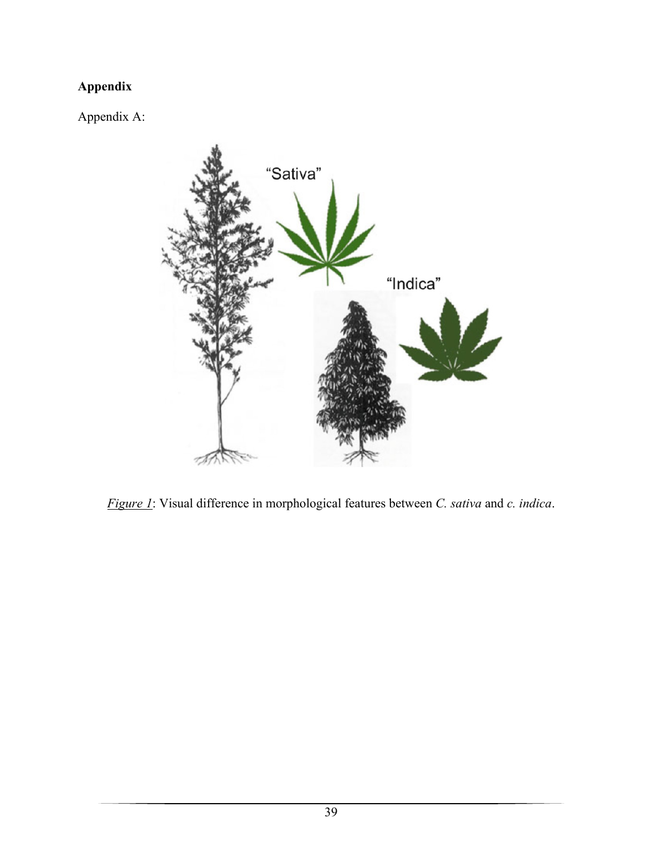# **Appendix**

Appendix A:



*Figure 1*: Visual difference in morphological features between *C. sativa* and *c. indica*.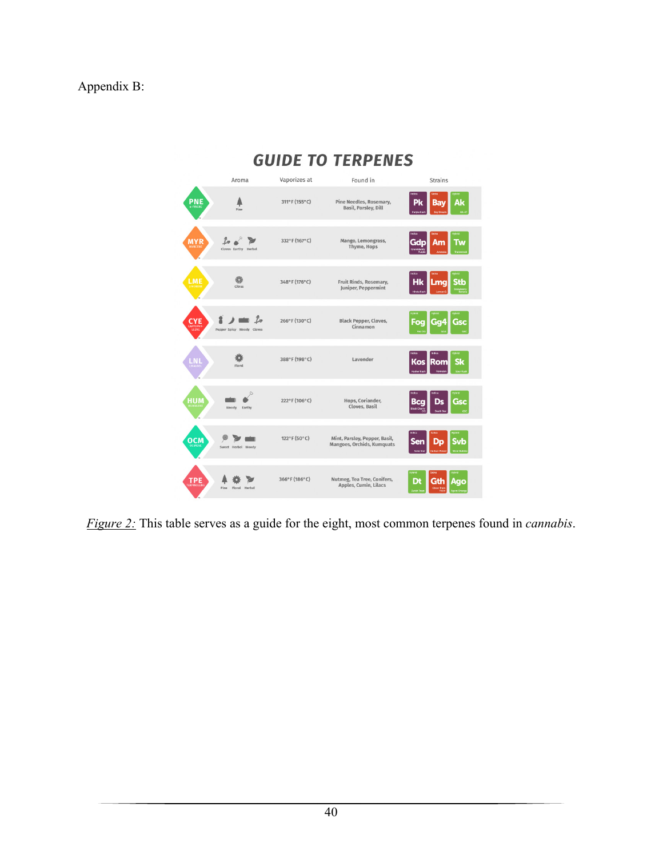# Appendix B:



*Figure 2:* This table serves as a guide for the eight, most common terpenes found in *cannabis*.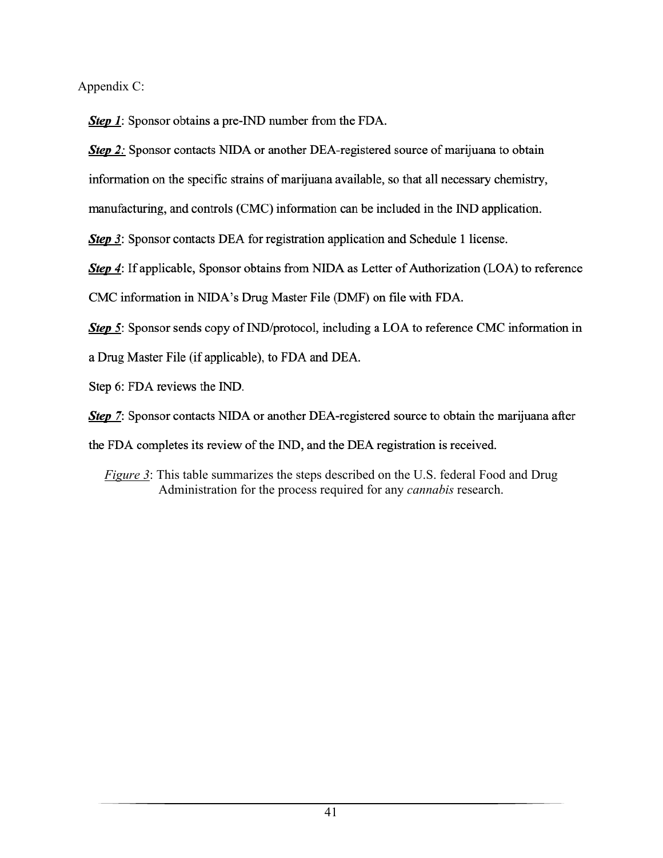Appendix C:

**Step 1:** Sponsor obtains a pre-IND number from the FDA.

Step 2: Sponsor contacts NIDA or another DEA-registered source of marijuana to obtain

information on the specific strains of marijuana available, so that all necessary chemistry,

manufacturing, and controls (CMC) information can be included in the IND application.

Step 3: Sponsor contacts DEA for registration application and Schedule 1 license.

Step 4: If applicable, Sponsor obtains from NIDA as Letter of Authorization (LOA) to reference

CMC information in NIDA's Drug Master File (DMF) on file with FDA.

Step 5: Sponsor sends copy of IND/protocol, including a LOA to reference CMC information in

a Drug Master File (if applicable), to FDA and DEA.

Step 6: FDA reviews the IND.

**Step 7:** Sponsor contacts NIDA or another DEA-registered source to obtain the marijuana after

the FDA completes its review of the IND, and the DEA registration is received.

*Figure 3*: This table summarizes the steps described on the U.S. federal Food and Drug Administration for the process required for any *cannabis* research.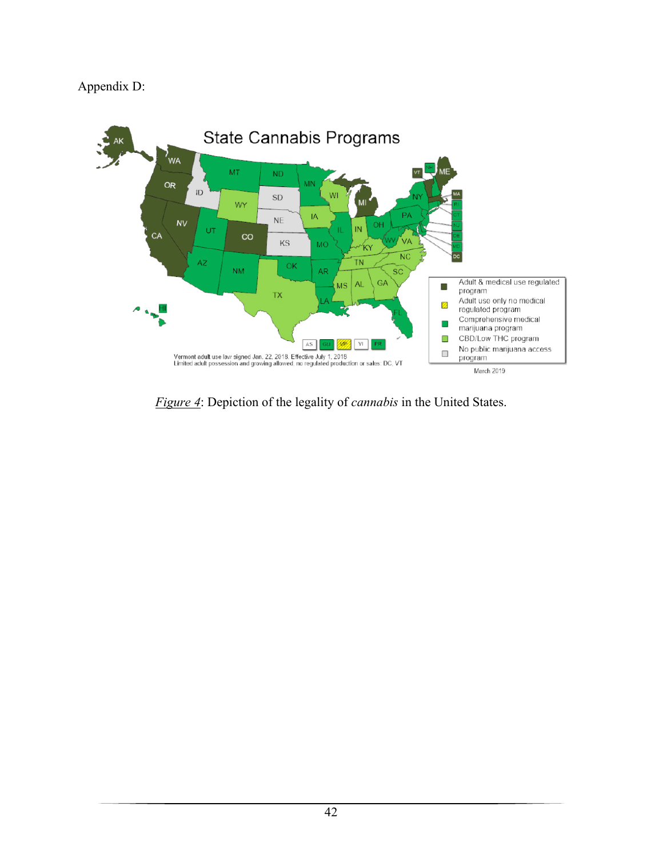# Appendix D:



*Figure 4*: Depiction of the legality of *cannabis* in the United States.